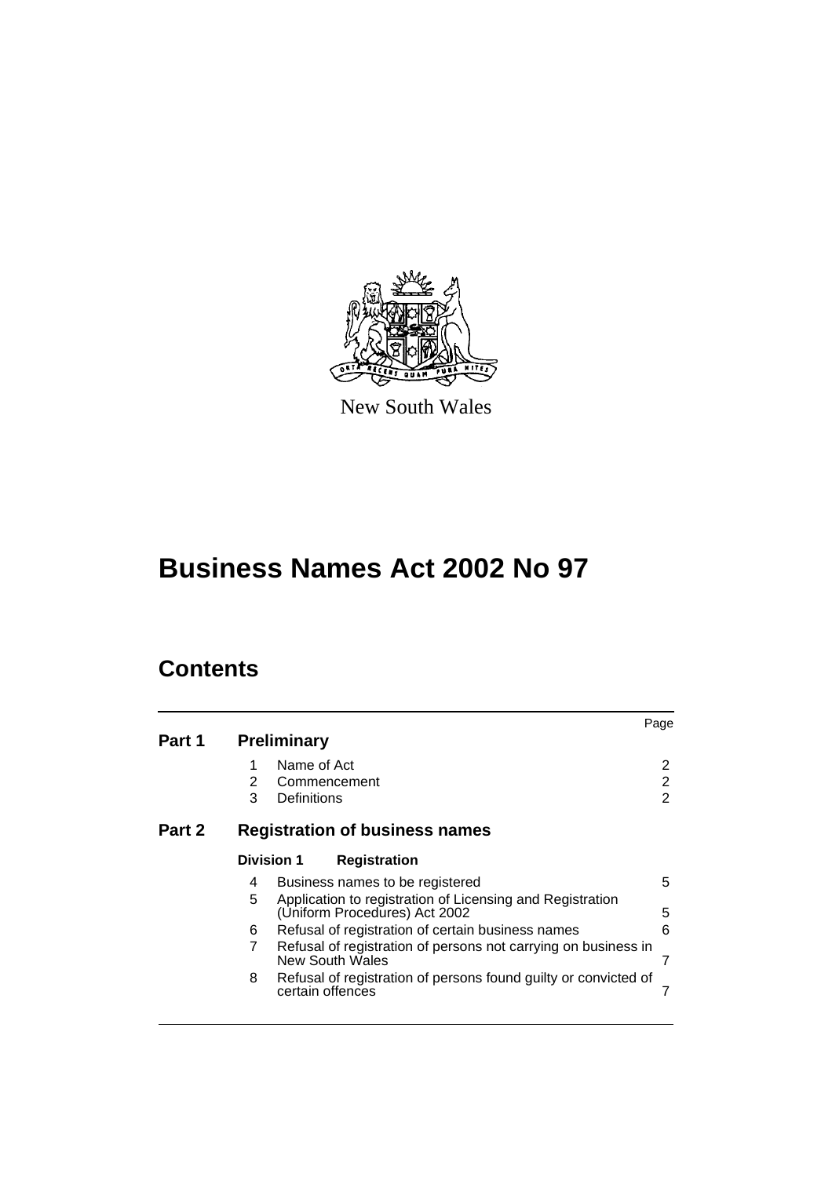

New South Wales

# **Business Names Act 2002 No 97**

# **Contents**

| Part 1 |                   | <b>Preliminary</b>                         |                                                                                            | Page        |
|--------|-------------------|--------------------------------------------|--------------------------------------------------------------------------------------------|-------------|
|        | 1<br>2<br>3       | Name of Act<br>Commencement<br>Definitions |                                                                                            | 2<br>2<br>2 |
| Part 2 |                   |                                            | <b>Registration of business names</b>                                                      |             |
|        | <b>Division 1</b> |                                            | <b>Registration</b>                                                                        |             |
|        | 4                 |                                            | Business names to be registered                                                            | 5           |
|        | 5                 |                                            | Application to registration of Licensing and Registration<br>(Uniform Procedures) Act 2002 | 5           |
|        | 6                 |                                            | Refusal of registration of certain business names                                          | 6           |
|        | $\overline{7}$    |                                            | Refusal of registration of persons not carrying on business in<br><b>New South Wales</b>   |             |
|        | 8                 | certain offences                           | Refusal of registration of persons found guilty or convicted of                            |             |
|        |                   |                                            |                                                                                            |             |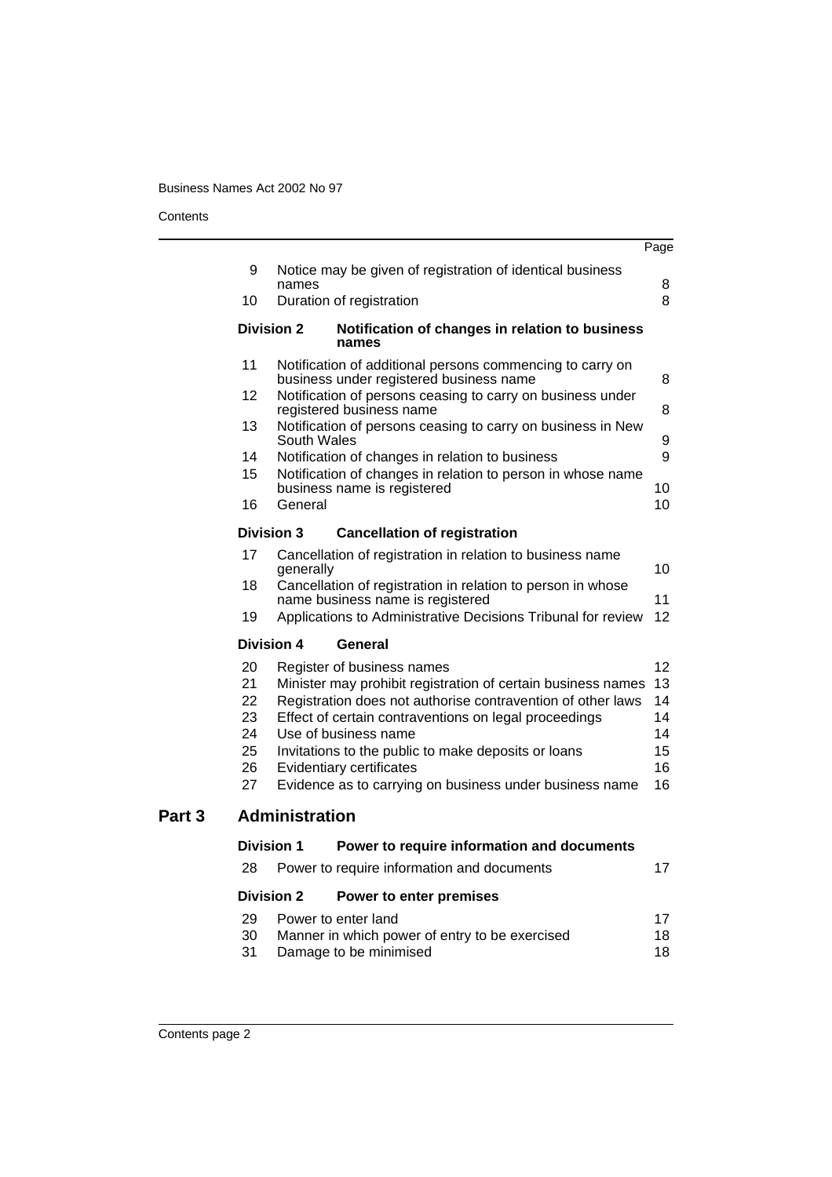#### **Contents**

l.

|    |                                                                                                      | Page |  |
|----|------------------------------------------------------------------------------------------------------|------|--|
| 9  | Notice may be given of registration of identical business                                            |      |  |
|    | names                                                                                                | 8    |  |
| 10 | Duration of registration                                                                             | 8    |  |
|    | <b>Division 2</b><br>Notification of changes in relation to business<br>names                        |      |  |
| 11 | Notification of additional persons commencing to carry on<br>business under registered business name | 8    |  |
| 12 | Notification of persons ceasing to carry on business under<br>registered business name               | 8    |  |
| 13 | Notification of persons ceasing to carry on business in New<br>South Wales                           |      |  |
| 14 | Notification of changes in relation to business                                                      | 9    |  |
| 15 | Notification of changes in relation to person in whose name                                          |      |  |
|    | business name is registered                                                                          | 10   |  |
| 16 | General                                                                                              | 10   |  |
|    | <b>Division 3</b><br><b>Cancellation of registration</b>                                             |      |  |
| 17 | Cancellation of registration in relation to business name<br>generally                               | 10   |  |
| 18 | Cancellation of registration in relation to person in whose<br>name business name is registered      | 11   |  |
| 19 | Applications to Administrative Decisions Tribunal for review                                         | 12   |  |
|    | <b>Division 4</b><br>General                                                                         |      |  |
| 20 | Register of business names                                                                           | 12   |  |
| 21 | Minister may prohibit registration of certain business names                                         | 13   |  |
| 22 | Registration does not authorise contravention of other laws                                          | 14   |  |
| 23 | Effect of certain contraventions on legal proceedings                                                |      |  |
| 24 | Use of business name                                                                                 | 14   |  |
| 25 | Invitations to the public to make deposits or loans                                                  | 15   |  |
| 26 | Evidentiary certificates                                                                             | 16   |  |
| 27 | Evidence as to carrying on business under business name                                              | 16   |  |
|    | <b>Administration</b>                                                                                |      |  |
|    | <b>Division 1</b><br>Power to require information and documents                                      |      |  |
| 28 | Power to require information and documents                                                           | 17   |  |
|    | <b>Division 2</b><br>Power to enter premises                                                         |      |  |
| 29 | Power to enter land                                                                                  | 17   |  |
| 30 | Manner in which power of entry to be exercised                                                       | 18   |  |
|    | Damage to be minimised                                                                               | 18   |  |

**Part 3**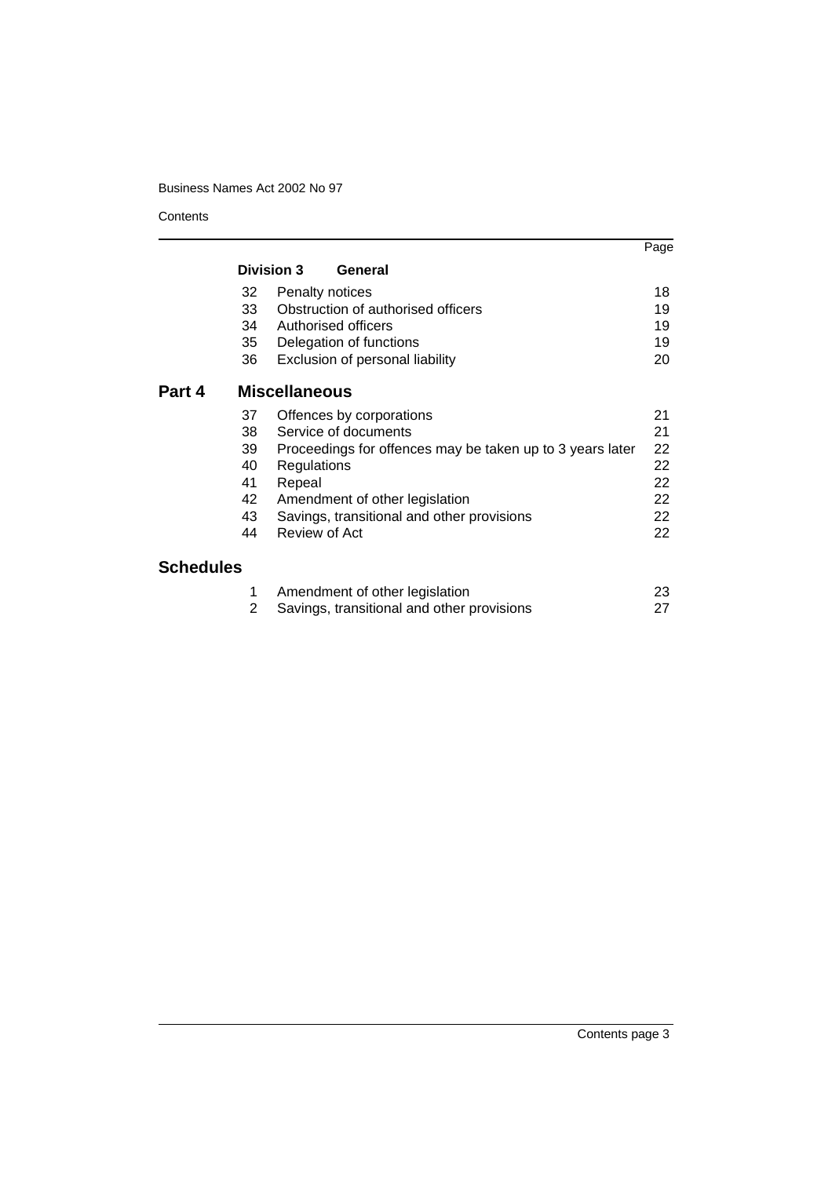**Contents** 

|                  |    |                                                           | Page |
|------------------|----|-----------------------------------------------------------|------|
|                  |    | <b>Division 3</b><br>General                              |      |
|                  | 32 | Penalty notices                                           | 18   |
|                  | 33 | Obstruction of authorised officers                        | 19   |
|                  | 34 | Authorised officers                                       | 19   |
|                  | 35 | Delegation of functions                                   | 19   |
|                  | 36 | Exclusion of personal liability                           | 20   |
| Part 4           |    | <b>Miscellaneous</b>                                      |      |
|                  | 37 | Offences by corporations                                  | 21   |
|                  | 38 | Service of documents                                      | 21   |
|                  | 39 | Proceedings for offences may be taken up to 3 years later | 22   |
|                  | 40 | Regulations                                               | 22   |
|                  | 41 | Repeal                                                    | 22   |
|                  | 42 | Amendment of other legislation                            | 22   |
|                  | 43 | Savings, transitional and other provisions                | 22   |
|                  | 44 | Review of Act                                             | 22   |
| <b>Schedules</b> |    |                                                           |      |
|                  | 1  | Amendment of other legislation                            | 23   |
|                  | 2  | Savings, transitional and other provisions                | 27   |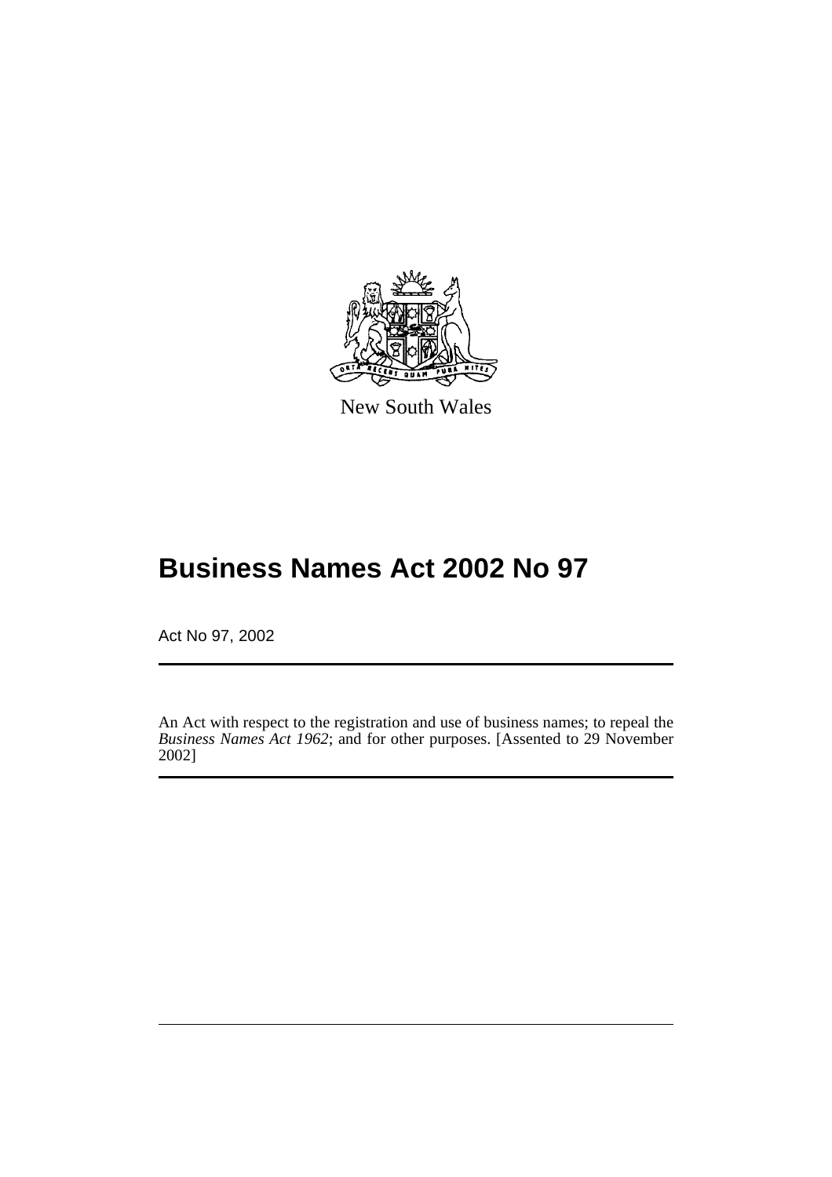

New South Wales

# **Business Names Act 2002 No 97**

Act No 97, 2002

An Act with respect to the registration and use of business names; to repeal the *Business Names Act 1962*; and for other purposes. [Assented to 29 November 2002]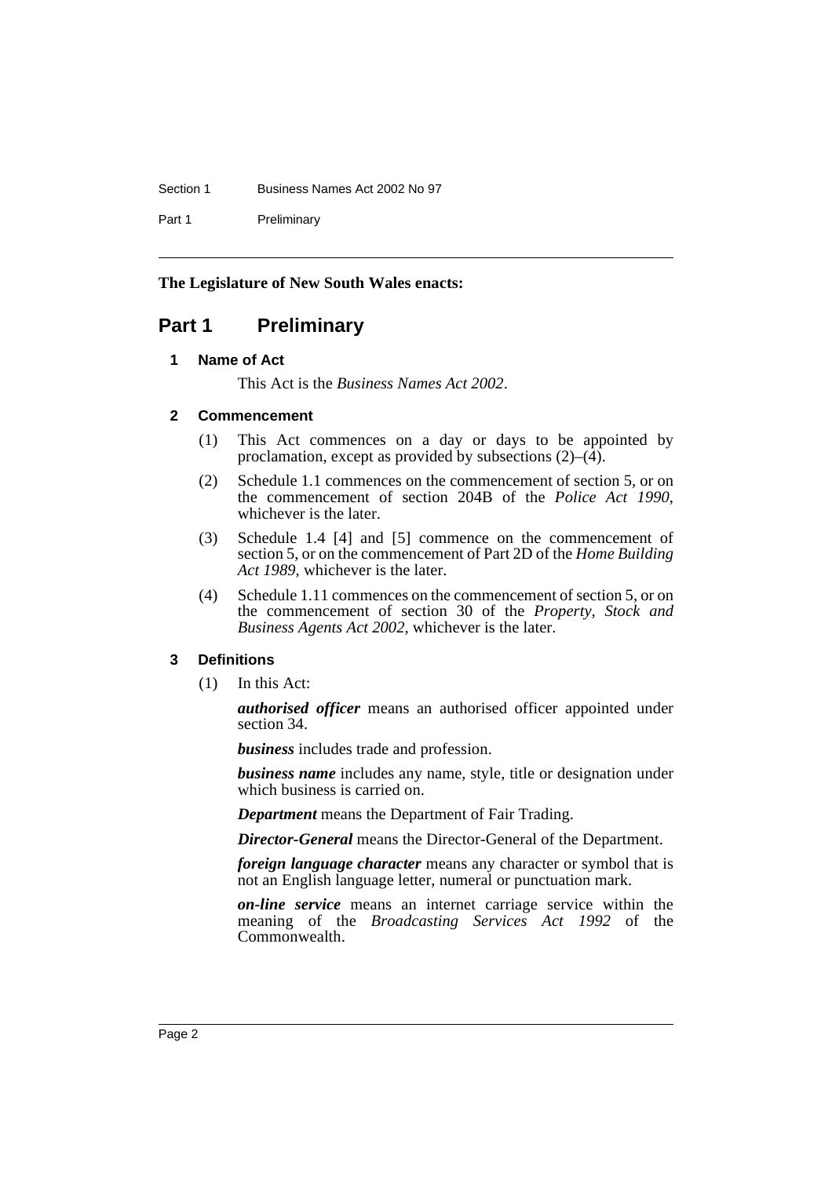#### Section 1 Business Names Act 2002 No 97

Part 1 Preliminary

# **The Legislature of New South Wales enacts:**

# <span id="page-4-1"></span><span id="page-4-0"></span>**Part 1 Preliminary**

#### **1 Name of Act**

This Act is the *Business Names Act 2002*.

# <span id="page-4-2"></span>**2 Commencement**

- (1) This Act commences on a day or days to be appointed by proclamation, except as provided by subsections  $(2)$ – $(\overline{4})$ .
- (2) Schedule 1.1 commences on the commencement of section 5, or on the commencement of section 204B of the *Police Act 1990*, whichever is the later.
- (3) Schedule 1.4 [4] and [5] commence on the commencement of section 5, or on the commencement of Part 2D of the *Home Building Act 1989*, whichever is the later.
- (4) Schedule 1.11 commences on the commencement of section 5, or on the commencement of section 30 of the *Property, Stock and Business Agents Act 2002*, whichever is the later.

# <span id="page-4-3"></span>**3 Definitions**

(1) In this Act:

*authorised officer* means an authorised officer appointed under section 34.

*business* includes trade and profession.

*business name* includes any name, style, title or designation under which business is carried on.

*Department* means the Department of Fair Trading.

*Director-General* means the Director-General of the Department.

*foreign language character* means any character or symbol that is not an English language letter, numeral or punctuation mark.

*on-line service* means an internet carriage service within the meaning of the *Broadcasting Services Act 1992* of the Commonwealth.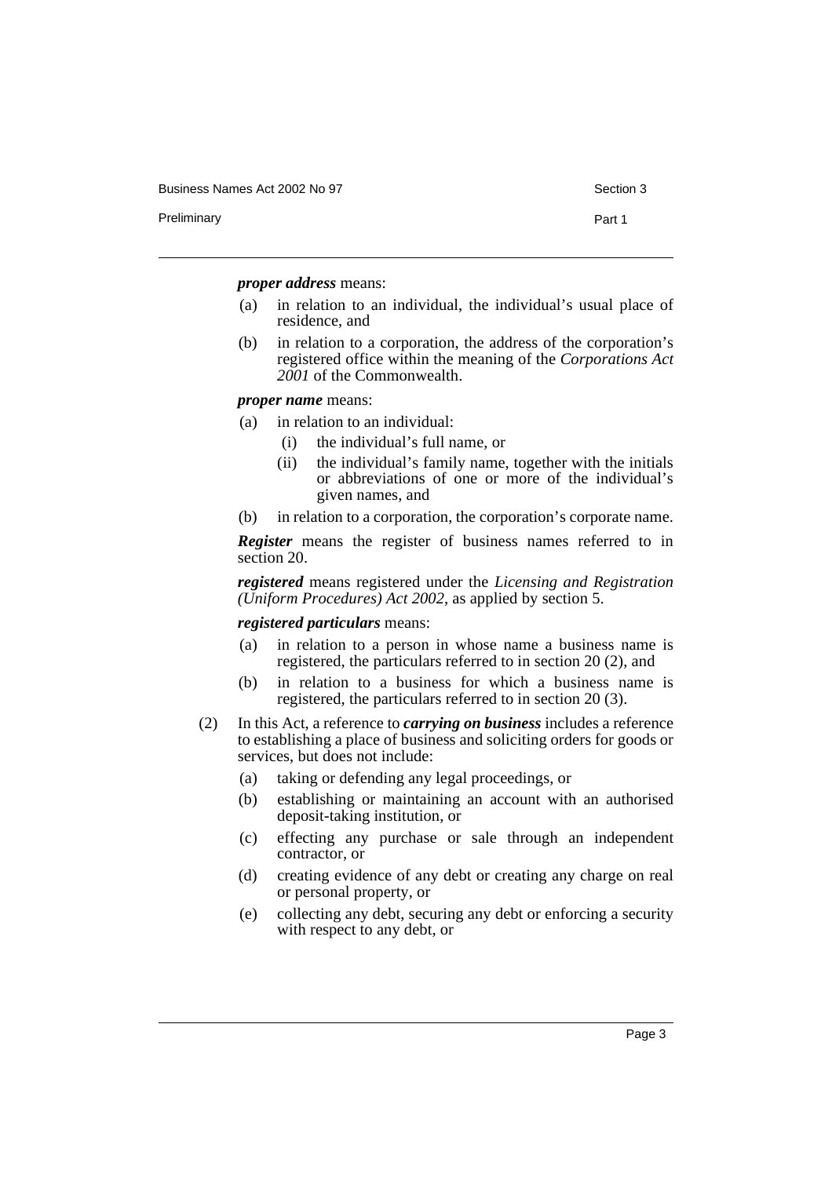Business Names Act 2002 No 97 Section 3

Preliminary **Preliminary** Part 1

*proper address* means:

- (a) in relation to an individual, the individual's usual place of residence, and
- (b) in relation to a corporation, the address of the corporation's registered office within the meaning of the *Corporations Act 2001* of the Commonwealth.

*proper name* means:

- (a) in relation to an individual:
	- (i) the individual's full name, or
	- (ii) the individual's family name, together with the initials or abbreviations of one or more of the individual's given names, and
- (b) in relation to a corporation, the corporation's corporate name.

*Register* means the register of business names referred to in section 20.

*registered* means registered under the *Licensing and Registration (Uniform Procedures) Act 2002*, as applied by section 5.

*registered particulars* means:

- (a) in relation to a person in whose name a business name is registered, the particulars referred to in section 20 (2), and
- (b) in relation to a business for which a business name is registered, the particulars referred to in section 20 (3).
- (2) In this Act, a reference to *carrying on business* includes a reference to establishing a place of business and soliciting orders for goods or services, but does not include:
	- (a) taking or defending any legal proceedings, or
	- (b) establishing or maintaining an account with an authorised deposit-taking institution, or
	- (c) effecting any purchase or sale through an independent contractor, or
	- (d) creating evidence of any debt or creating any charge on real or personal property, or
	- (e) collecting any debt, securing any debt or enforcing a security with respect to any debt, or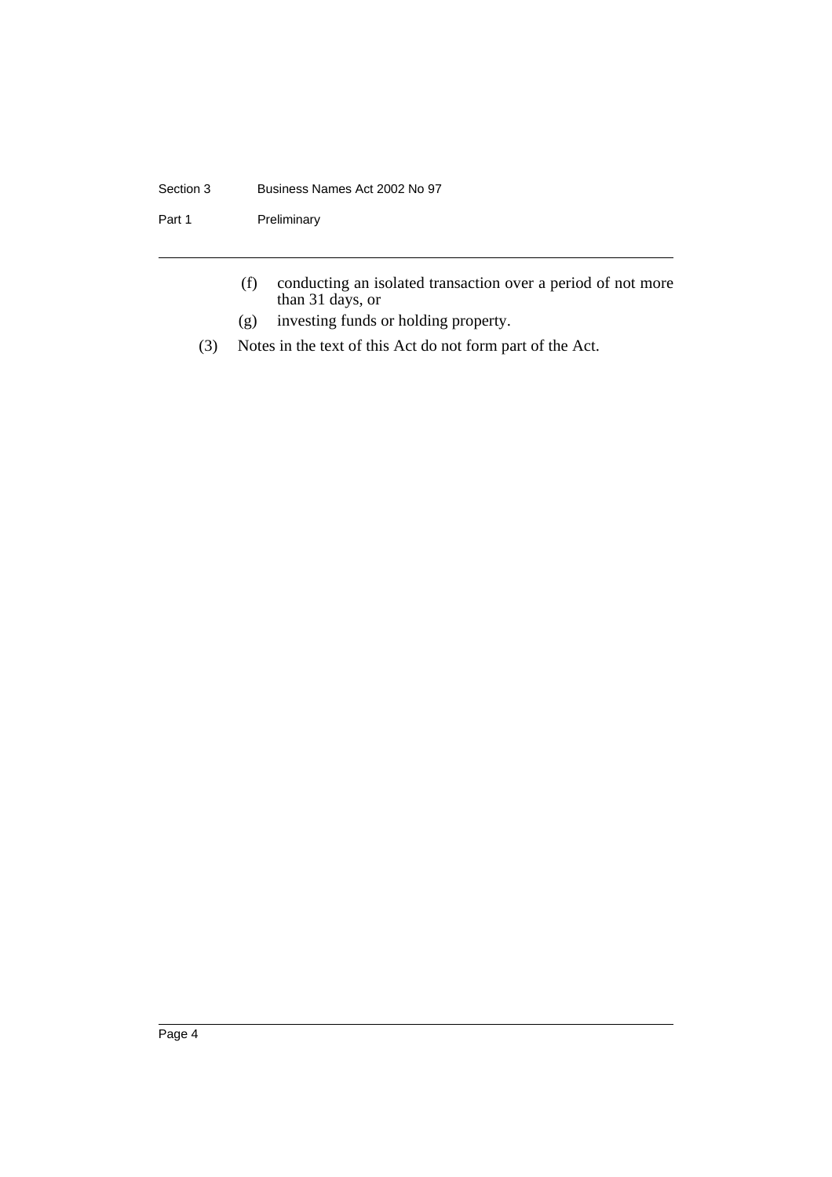#### Section 3 Business Names Act 2002 No 97

Part 1 Preliminary

- (f) conducting an isolated transaction over a period of not more than 31 days, or
- (g) investing funds or holding property.
- (3) Notes in the text of this Act do not form part of the Act.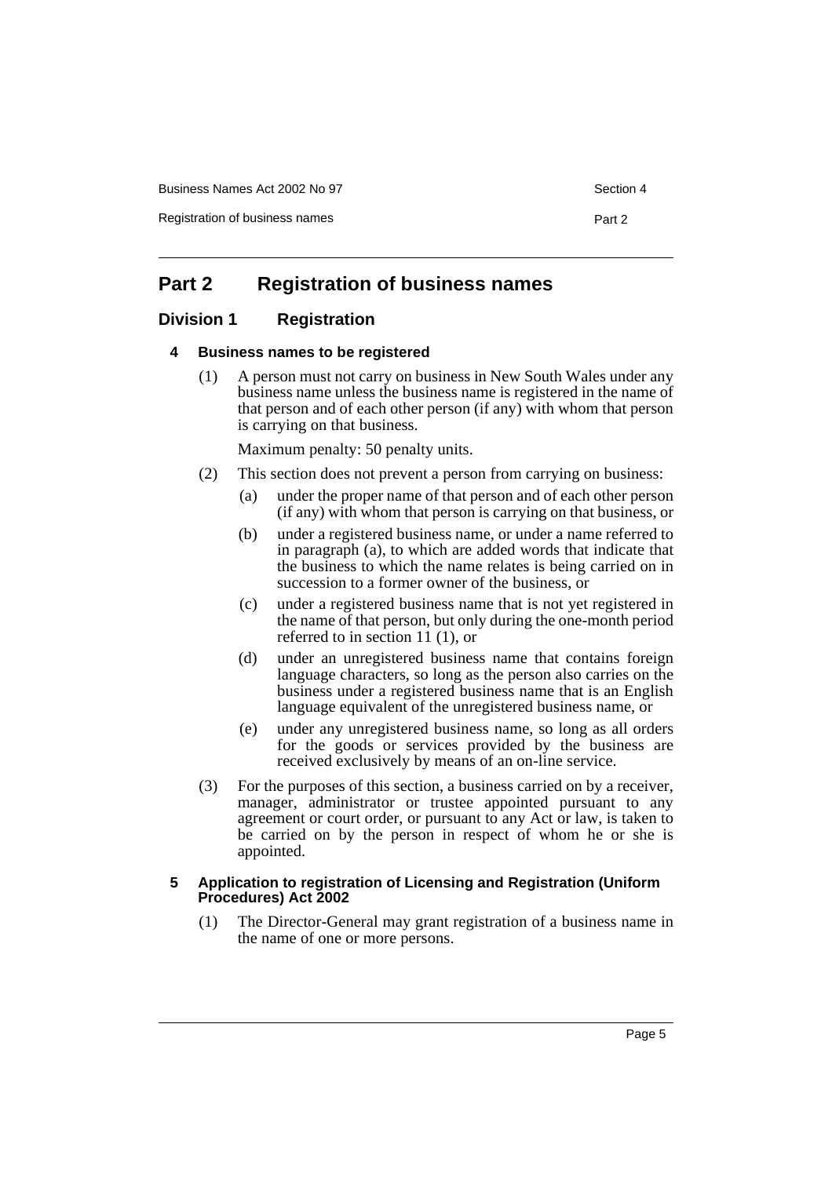Business Names Act 2002 No 97 Section 4

Registration of business names **Part 2** 

# <span id="page-7-0"></span>**Part 2 Registration of business names**

# <span id="page-7-2"></span><span id="page-7-1"></span>**Division 1 Registration**

### **4 Business names to be registered**

(1) A person must not carry on business in New South Wales under any business name unless the business name is registered in the name of that person and of each other person (if any) with whom that person is carrying on that business.

Maximum penalty: 50 penalty units.

- (2) This section does not prevent a person from carrying on business:
	- (a) under the proper name of that person and of each other person (if any) with whom that person is carrying on that business, or
	- (b) under a registered business name, or under a name referred to in paragraph (a), to which are added words that indicate that the business to which the name relates is being carried on in succession to a former owner of the business, or
	- (c) under a registered business name that is not yet registered in the name of that person, but only during the one-month period referred to in section 11 (1), or
	- (d) under an unregistered business name that contains foreign language characters, so long as the person also carries on the business under a registered business name that is an English language equivalent of the unregistered business name, or
	- (e) under any unregistered business name, so long as all orders for the goods or services provided by the business are received exclusively by means of an on-line service.
- (3) For the purposes of this section, a business carried on by a receiver, manager, administrator or trustee appointed pursuant to any agreement or court order, or pursuant to any Act or law, is taken to be carried on by the person in respect of whom he or she is appointed.

#### <span id="page-7-3"></span>**5 Application to registration of Licensing and Registration (Uniform Procedures) Act 2002**

(1) The Director-General may grant registration of a business name in the name of one or more persons.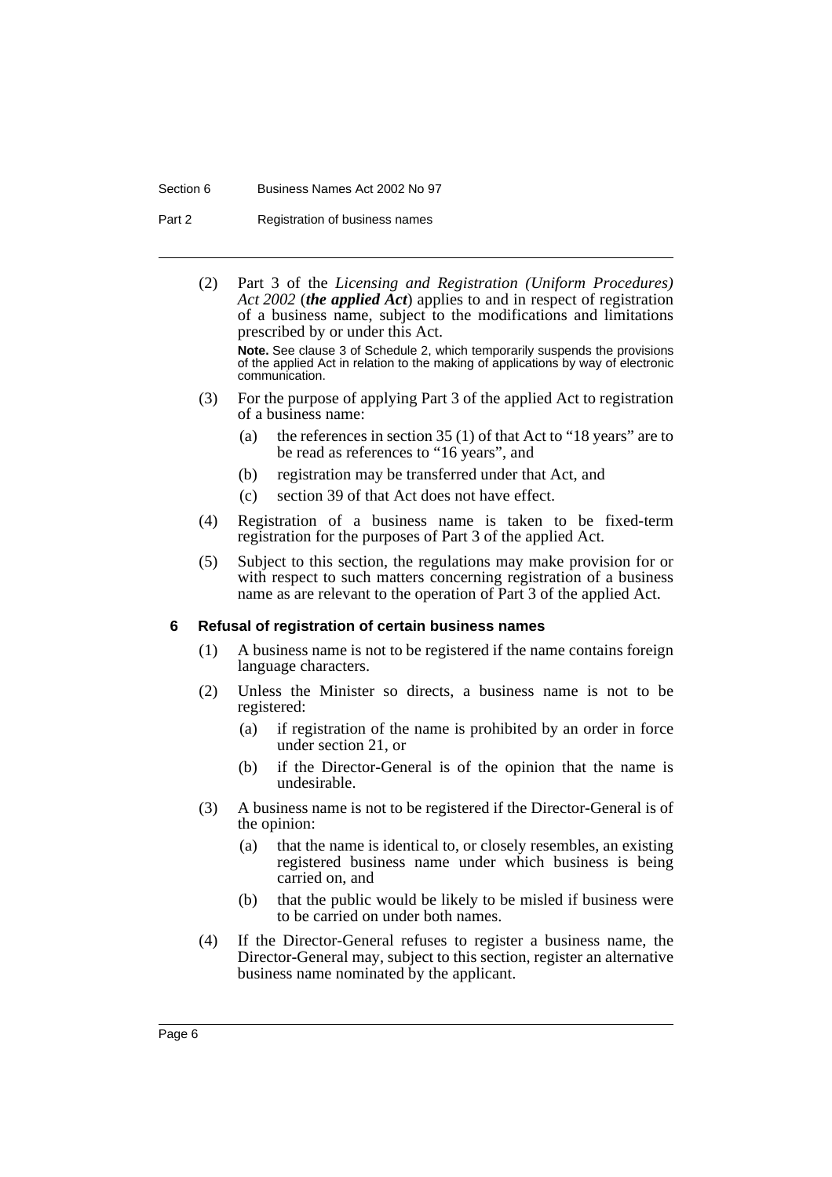#### Section 6 Business Names Act 2002 No 97

Part 2 Registration of business names

(2) Part 3 of the *Licensing and Registration (Uniform Procedures) Act 2002* (*the applied Act*) applies to and in respect of registration of a business name, subject to the modifications and limitations prescribed by or under this Act.

**Note.** See clause 3 of Schedule 2, which temporarily suspends the provisions of the applied Act in relation to the making of applications by way of electronic communication.

- (3) For the purpose of applying Part 3 of the applied Act to registration of a business name:
	- (a) the references in section 35 (1) of that Act to "18 years" are to be read as references to "16 years", and
	- (b) registration may be transferred under that Act, and
	- (c) section 39 of that Act does not have effect.
- (4) Registration of a business name is taken to be fixed-term registration for the purposes of Part 3 of the applied Act.
- (5) Subject to this section, the regulations may make provision for or with respect to such matters concerning registration of a business name as are relevant to the operation of Part 3 of the applied Act.

#### <span id="page-8-0"></span>**6 Refusal of registration of certain business names**

- (1) A business name is not to be registered if the name contains foreign language characters.
- (2) Unless the Minister so directs, a business name is not to be registered:
	- (a) if registration of the name is prohibited by an order in force under section 21, or
	- (b) if the Director-General is of the opinion that the name is undesirable.
- (3) A business name is not to be registered if the Director-General is of the opinion:
	- (a) that the name is identical to, or closely resembles, an existing registered business name under which business is being carried on, and
	- (b) that the public would be likely to be misled if business were to be carried on under both names.
- (4) If the Director-General refuses to register a business name, the Director-General may, subject to this section, register an alternative business name nominated by the applicant.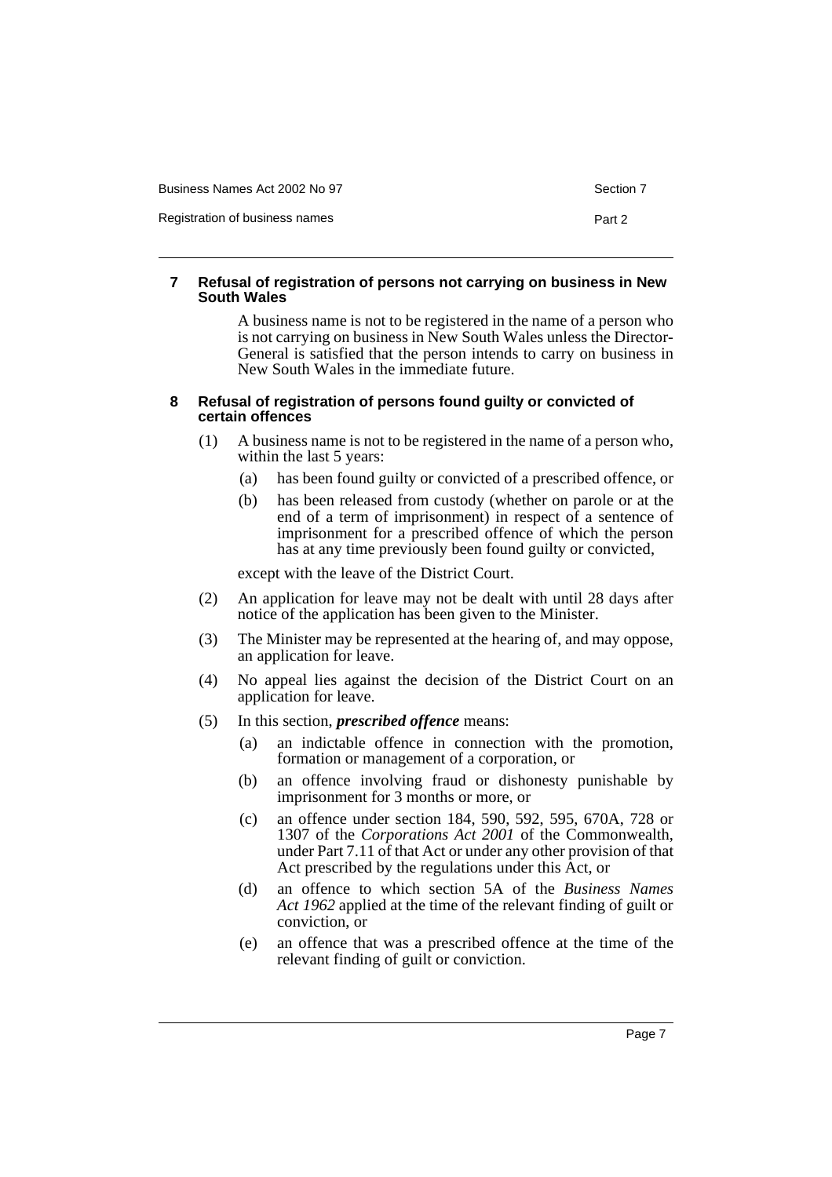| Business Names Act 2002 No 97  | Section 7 |
|--------------------------------|-----------|
| Registration of business names | Part 2    |

## <span id="page-9-0"></span>**7 Refusal of registration of persons not carrying on business in New South Wales**

A business name is not to be registered in the name of a person who is not carrying on business in New South Wales unless the Director-General is satisfied that the person intends to carry on business in New South Wales in the immediate future.

## <span id="page-9-1"></span>**8 Refusal of registration of persons found guilty or convicted of certain offences**

- (1) A business name is not to be registered in the name of a person who, within the last 5 years:
	- (a) has been found guilty or convicted of a prescribed offence, or
	- (b) has been released from custody (whether on parole or at the end of a term of imprisonment) in respect of a sentence of imprisonment for a prescribed offence of which the person has at any time previously been found guilty or convicted,

except with the leave of the District Court.

- (2) An application for leave may not be dealt with until 28 days after notice of the application has been given to the Minister.
- (3) The Minister may be represented at the hearing of, and may oppose, an application for leave.
- (4) No appeal lies against the decision of the District Court on an application for leave.
- (5) In this section, *prescribed offence* means:
	- (a) an indictable offence in connection with the promotion, formation or management of a corporation, or
	- (b) an offence involving fraud or dishonesty punishable by imprisonment for 3 months or more, or
	- (c) an offence under section 184, 590, 592, 595, 670A, 728 or 1307 of the *Corporations Act 2001* of the Commonwealth, under Part 7.11 of that Act or under any other provision of that Act prescribed by the regulations under this Act, or
	- (d) an offence to which section 5A of the *Business Names Act 1962* applied at the time of the relevant finding of guilt or conviction, or
	- (e) an offence that was a prescribed offence at the time of the relevant finding of guilt or conviction.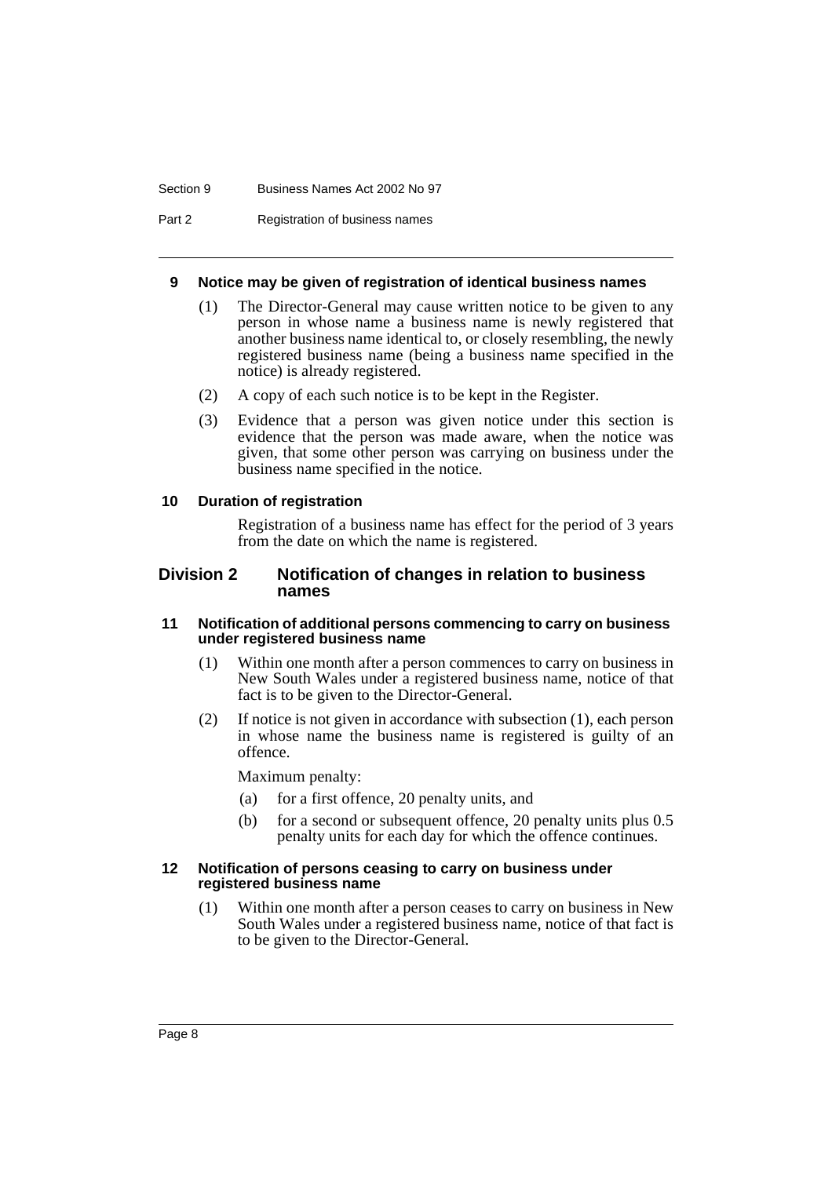#### Section 9 Business Names Act 2002 No 97

Part 2 Registration of business names

#### <span id="page-10-0"></span>**9 Notice may be given of registration of identical business names**

- (1) The Director-General may cause written notice to be given to any person in whose name a business name is newly registered that another business name identical to, or closely resembling, the newly registered business name (being a business name specified in the notice) is already registered.
- (2) A copy of each such notice is to be kept in the Register.
- (3) Evidence that a person was given notice under this section is evidence that the person was made aware, when the notice was given, that some other person was carrying on business under the business name specified in the notice.

#### <span id="page-10-1"></span>**10 Duration of registration**

Registration of a business name has effect for the period of 3 years from the date on which the name is registered.

# <span id="page-10-2"></span>**Division 2 Notification of changes in relation to business names**

#### <span id="page-10-3"></span>**11 Notification of additional persons commencing to carry on business under registered business name**

- (1) Within one month after a person commences to carry on business in New South Wales under a registered business name, notice of that fact is to be given to the Director-General.
- (2) If notice is not given in accordance with subsection (1), each person in whose name the business name is registered is guilty of an offence.

Maximum penalty:

- (a) for a first offence, 20 penalty units, and
- (b) for a second or subsequent offence, 20 penalty units plus 0.5 penalty units for each day for which the offence continues.

#### <span id="page-10-4"></span>**12 Notification of persons ceasing to carry on business under registered business name**

(1) Within one month after a person ceases to carry on business in New South Wales under a registered business name, notice of that fact is to be given to the Director-General.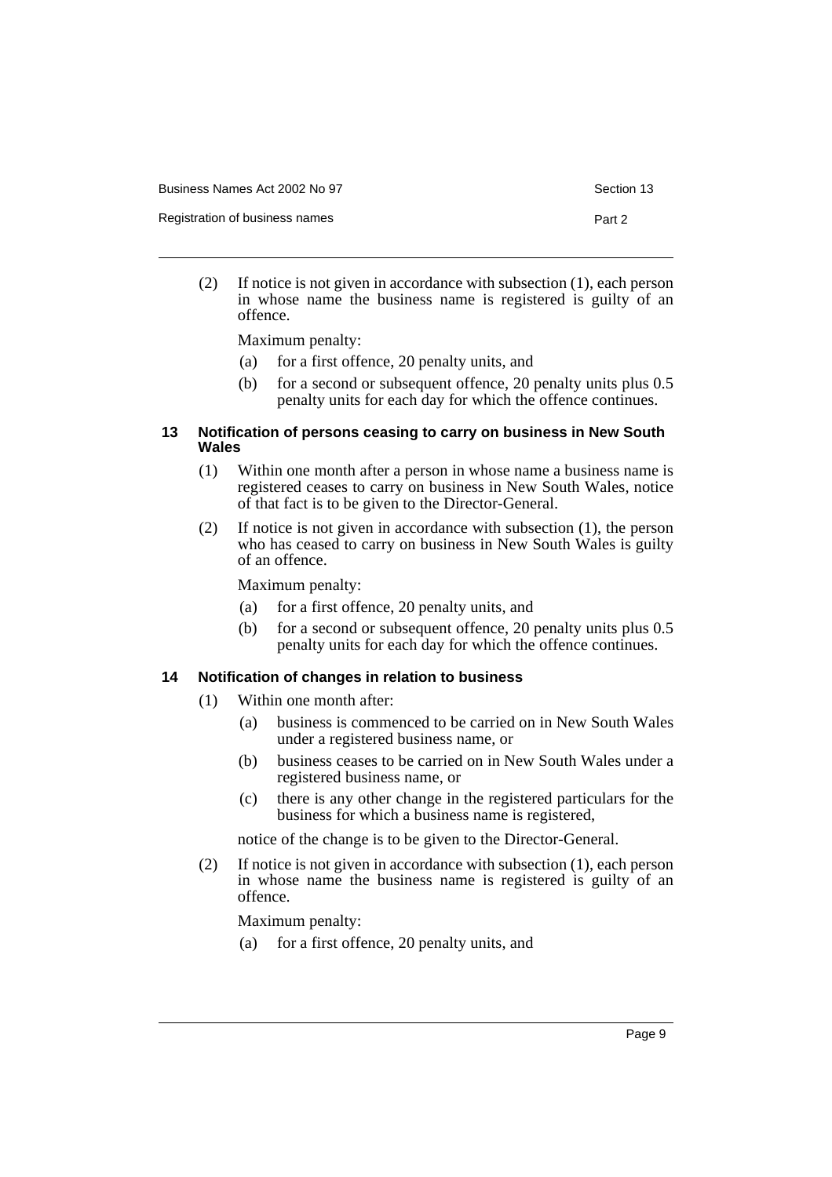Registration of business names **Part 2** 

(2) If notice is not given in accordance with subsection (1), each person in whose name the business name is registered is guilty of an offence.

Maximum penalty:

- (a) for a first offence, 20 penalty units, and
- (b) for a second or subsequent offence, 20 penalty units plus 0.5 penalty units for each day for which the offence continues.

#### <span id="page-11-0"></span>**13 Notification of persons ceasing to carry on business in New South Wales**

- (1) Within one month after a person in whose name a business name is registered ceases to carry on business in New South Wales, notice of that fact is to be given to the Director-General.
- (2) If notice is not given in accordance with subsection (1), the person who has ceased to carry on business in New South Wales is guilty of an offence.

Maximum penalty:

- (a) for a first offence, 20 penalty units, and
- (b) for a second or subsequent offence, 20 penalty units plus 0.5 penalty units for each day for which the offence continues.

#### <span id="page-11-1"></span>**14 Notification of changes in relation to business**

- (1) Within one month after:
	- (a) business is commenced to be carried on in New South Wales under a registered business name, or
	- (b) business ceases to be carried on in New South Wales under a registered business name, or
	- (c) there is any other change in the registered particulars for the business for which a business name is registered,

notice of the change is to be given to the Director-General.

(2) If notice is not given in accordance with subsection (1), each person in whose name the business name is registered is guilty of an offence.

Maximum penalty:

(a) for a first offence, 20 penalty units, and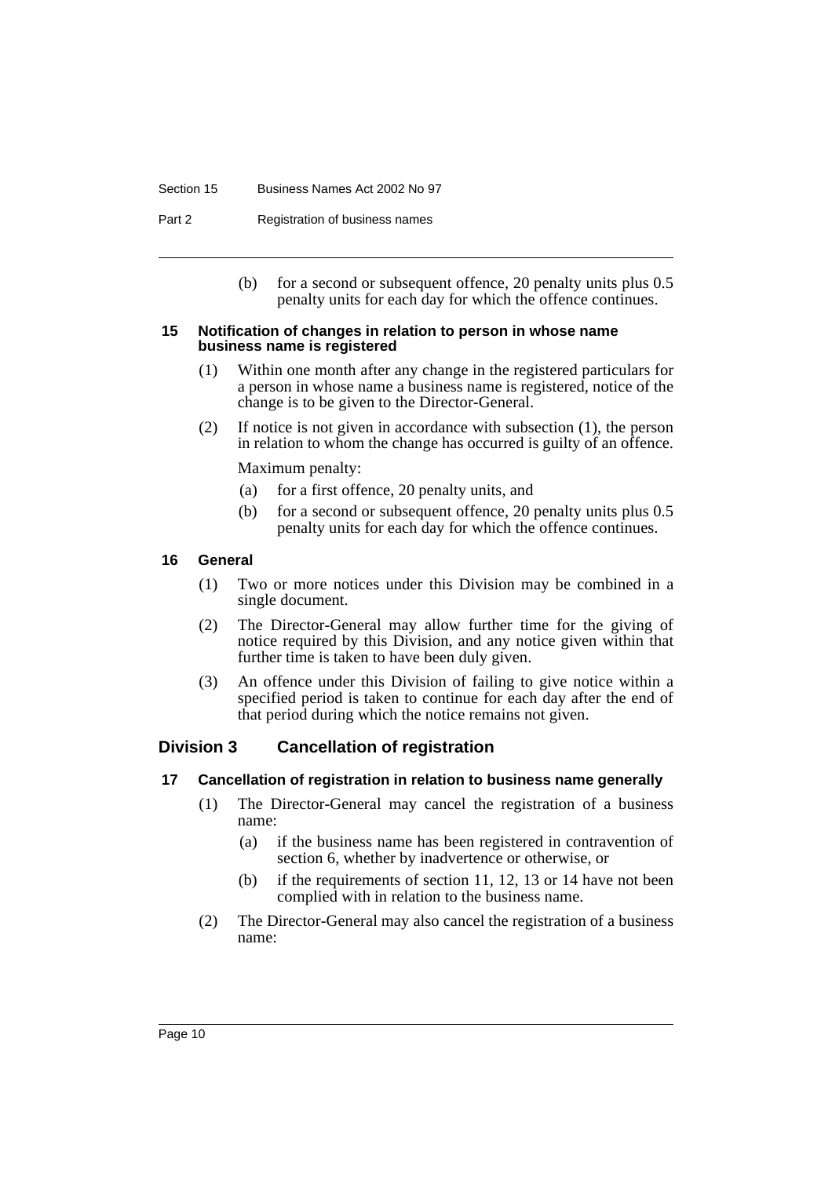#### Section 15 Business Names Act 2002 No 97

Part 2 Registration of business names

(b) for a second or subsequent offence, 20 penalty units plus 0.5 penalty units for each day for which the offence continues.

#### <span id="page-12-0"></span>**15 Notification of changes in relation to person in whose name business name is registered**

- (1) Within one month after any change in the registered particulars for a person in whose name a business name is registered, notice of the change is to be given to the Director-General.
- (2) If notice is not given in accordance with subsection (1), the person in relation to whom the change has occurred is guilty of an offence.

Maximum penalty:

- (a) for a first offence, 20 penalty units, and
- (b) for a second or subsequent offence, 20 penalty units plus 0.5 penalty units for each day for which the offence continues.

#### <span id="page-12-1"></span>**16 General**

- (1) Two or more notices under this Division may be combined in a single document.
- (2) The Director-General may allow further time for the giving of notice required by this Division, and any notice given within that further time is taken to have been duly given.
- (3) An offence under this Division of failing to give notice within a specified period is taken to continue for each day after the end of that period during which the notice remains not given.

# <span id="page-12-2"></span>**Division 3 Cancellation of registration**

#### <span id="page-12-3"></span>**17 Cancellation of registration in relation to business name generally**

- (1) The Director-General may cancel the registration of a business name:
	- (a) if the business name has been registered in contravention of section 6, whether by inadvertence or otherwise, or
	- (b) if the requirements of section 11, 12, 13 or 14 have not been complied with in relation to the business name.
- (2) The Director-General may also cancel the registration of a business name: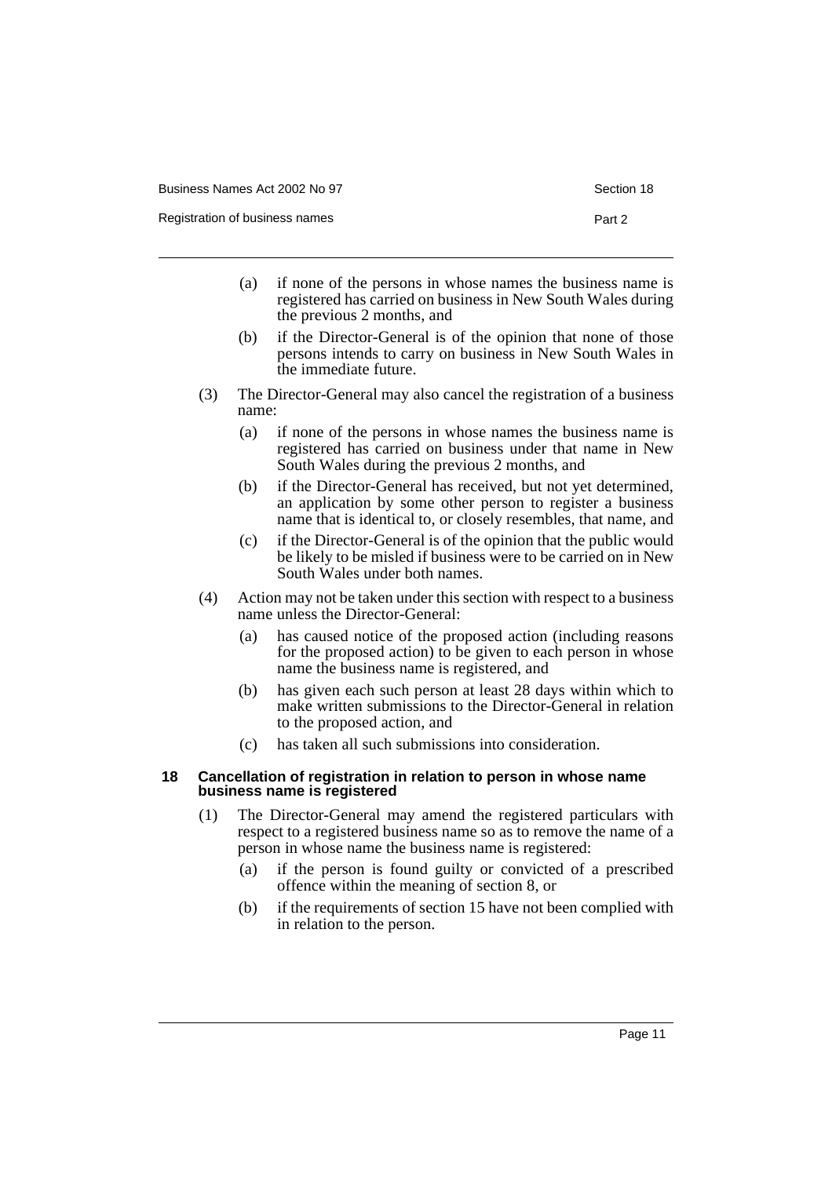- (a) if none of the persons in whose names the business name is registered has carried on business in New South Wales during the previous 2 months, and
- (b) if the Director-General is of the opinion that none of those persons intends to carry on business in New South Wales in the immediate future.
- (3) The Director-General may also cancel the registration of a business name:
	- (a) if none of the persons in whose names the business name is registered has carried on business under that name in New South Wales during the previous 2 months, and
	- (b) if the Director-General has received, but not yet determined, an application by some other person to register a business name that is identical to, or closely resembles, that name, and
	- (c) if the Director-General is of the opinion that the public would be likely to be misled if business were to be carried on in New South Wales under both names.
- (4) Action may not be taken under this section with respect to a business name unless the Director-General:
	- (a) has caused notice of the proposed action (including reasons for the proposed action) to be given to each person in whose name the business name is registered, and
	- (b) has given each such person at least 28 days within which to make written submissions to the Director-General in relation to the proposed action, and
	- (c) has taken all such submissions into consideration.

#### <span id="page-13-0"></span>**18 Cancellation of registration in relation to person in whose name business name is registered**

- (1) The Director-General may amend the registered particulars with respect to a registered business name so as to remove the name of a person in whose name the business name is registered:
	- (a) if the person is found guilty or convicted of a prescribed offence within the meaning of section 8, or
	- (b) if the requirements of section 15 have not been complied with in relation to the person.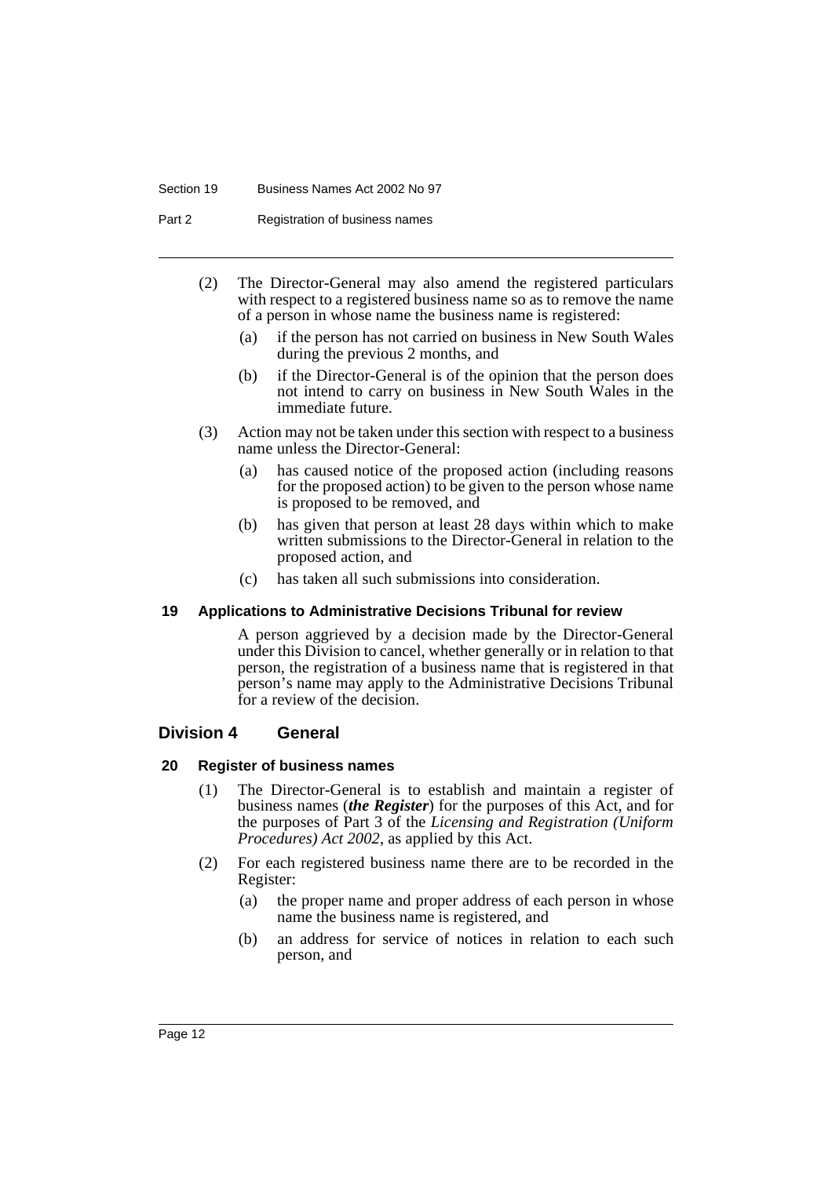#### Section 19 Business Names Act 2002 No 97

Part 2 Registration of business names

- (2) The Director-General may also amend the registered particulars with respect to a registered business name so as to remove the name of a person in whose name the business name is registered:
	- (a) if the person has not carried on business in New South Wales during the previous 2 months, and
	- (b) if the Director-General is of the opinion that the person does not intend to carry on business in New South Wales in the immediate future.
- (3) Action may not be taken under this section with respect to a business name unless the Director-General:
	- (a) has caused notice of the proposed action (including reasons for the proposed action) to be given to the person whose name is proposed to be removed, and
	- (b) has given that person at least 28 days within which to make written submissions to the Director-General in relation to the proposed action, and
	- (c) has taken all such submissions into consideration.

#### <span id="page-14-0"></span>**19 Applications to Administrative Decisions Tribunal for review**

A person aggrieved by a decision made by the Director-General under this Division to cancel, whether generally or in relation to that person, the registration of a business name that is registered in that person's name may apply to the Administrative Decisions Tribunal for a review of the decision.

# <span id="page-14-1"></span>**Division 4 General**

#### <span id="page-14-2"></span>**20 Register of business names**

- (1) The Director-General is to establish and maintain a register of business names (*the Register*) for the purposes of this Act, and for the purposes of Part 3 of the *Licensing and Registration (Uniform Procedures) Act 2002*, as applied by this Act.
- (2) For each registered business name there are to be recorded in the Register:
	- (a) the proper name and proper address of each person in whose name the business name is registered, and
	- (b) an address for service of notices in relation to each such person, and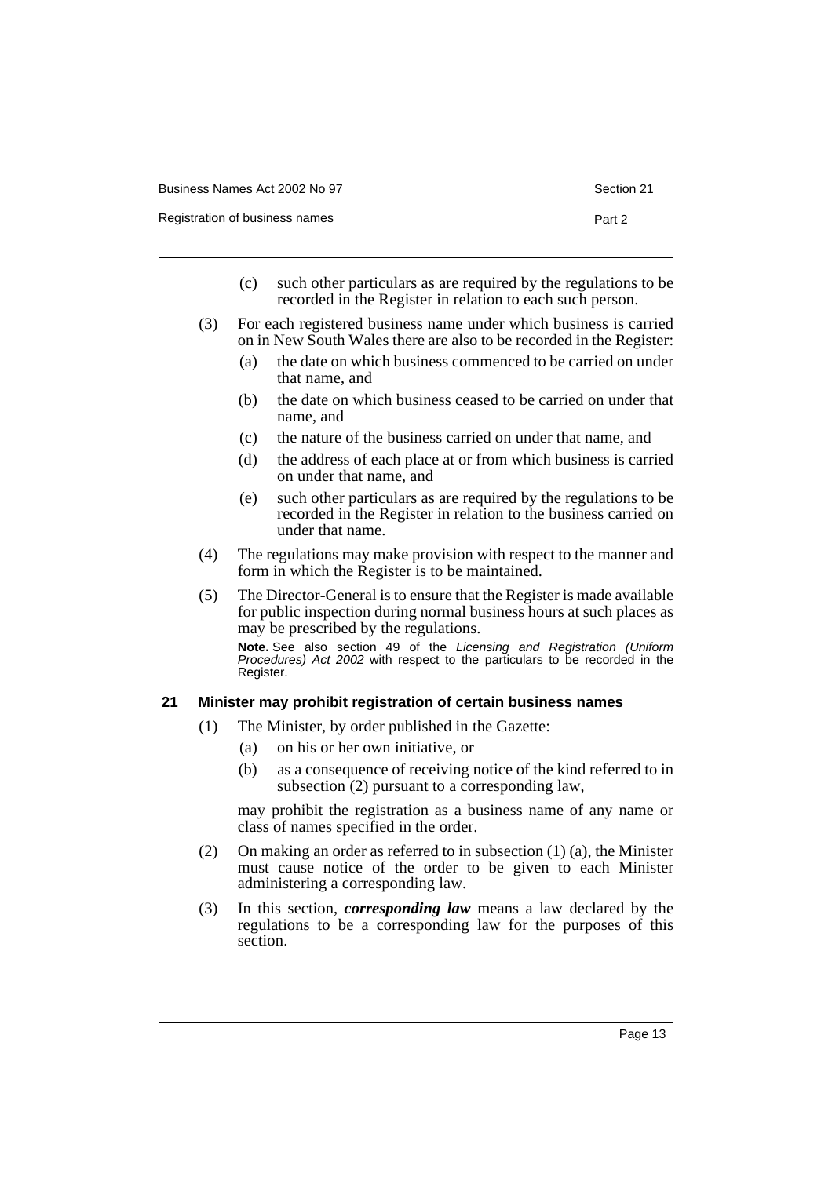Registration of business names **Part 2** and 2

- (c) such other particulars as are required by the regulations to be recorded in the Register in relation to each such person.
- (3) For each registered business name under which business is carried on in New South Wales there are also to be recorded in the Register:
	- (a) the date on which business commenced to be carried on under that name, and
	- (b) the date on which business ceased to be carried on under that name, and
	- (c) the nature of the business carried on under that name, and
	- (d) the address of each place at or from which business is carried on under that name, and
	- (e) such other particulars as are required by the regulations to be recorded in the Register in relation to the business carried on under that name.
- (4) The regulations may make provision with respect to the manner and form in which the Register is to be maintained.
- (5) The Director-General is to ensure that the Register is made available for public inspection during normal business hours at such places as may be prescribed by the regulations. **Note.** See also section 49 of the Licensing and Registration (Uniform Procedures) Act 2002 with respect to the particulars to be recorded in the Register.

#### <span id="page-15-0"></span>**21 Minister may prohibit registration of certain business names**

- (1) The Minister, by order published in the Gazette:
	- (a) on his or her own initiative, or
	- (b) as a consequence of receiving notice of the kind referred to in subsection (2) pursuant to a corresponding law,

may prohibit the registration as a business name of any name or class of names specified in the order.

- (2) On making an order as referred to in subsection (1) (a), the Minister must cause notice of the order to be given to each Minister administering a corresponding law.
- (3) In this section, *corresponding law* means a law declared by the regulations to be a corresponding law for the purposes of this section.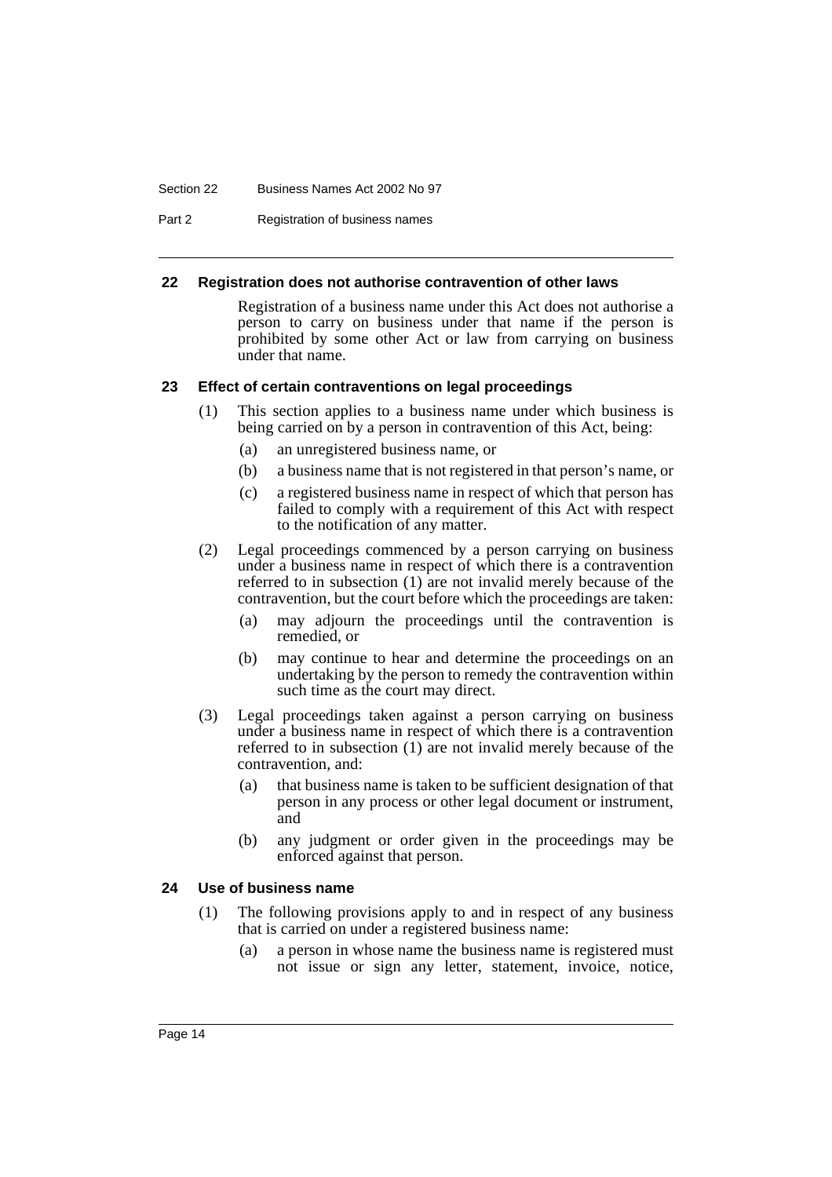#### Section 22 Business Names Act 2002 No 97

Part 2 Registration of business names

#### <span id="page-16-0"></span>**22 Registration does not authorise contravention of other laws**

Registration of a business name under this Act does not authorise a person to carry on business under that name if the person is prohibited by some other Act or law from carrying on business under that name.

#### <span id="page-16-1"></span>**23 Effect of certain contraventions on legal proceedings**

- (1) This section applies to a business name under which business is being carried on by a person in contravention of this Act, being:
	- (a) an unregistered business name, or
	- (b) a business name that is not registered in that person's name, or
	- (c) a registered business name in respect of which that person has failed to comply with a requirement of this Act with respect to the notification of any matter.
- (2) Legal proceedings commenced by a person carrying on business under a business name in respect of which there is a contravention referred to in subsection (1) are not invalid merely because of the contravention, but the court before which the proceedings are taken:
	- (a) may adjourn the proceedings until the contravention is remedied, or
	- (b) may continue to hear and determine the proceedings on an undertaking by the person to remedy the contravention within such time as the court may direct.
- (3) Legal proceedings taken against a person carrying on business under a business name in respect of which there is a contravention referred to in subsection (1) are not invalid merely because of the contravention, and:
	- (a) that business name is taken to be sufficient designation of that person in any process or other legal document or instrument, and
	- (b) any judgment or order given in the proceedings may be enforced against that person.

## <span id="page-16-2"></span>**24 Use of business name**

- (1) The following provisions apply to and in respect of any business that is carried on under a registered business name:
	- (a) a person in whose name the business name is registered must not issue or sign any letter, statement, invoice, notice,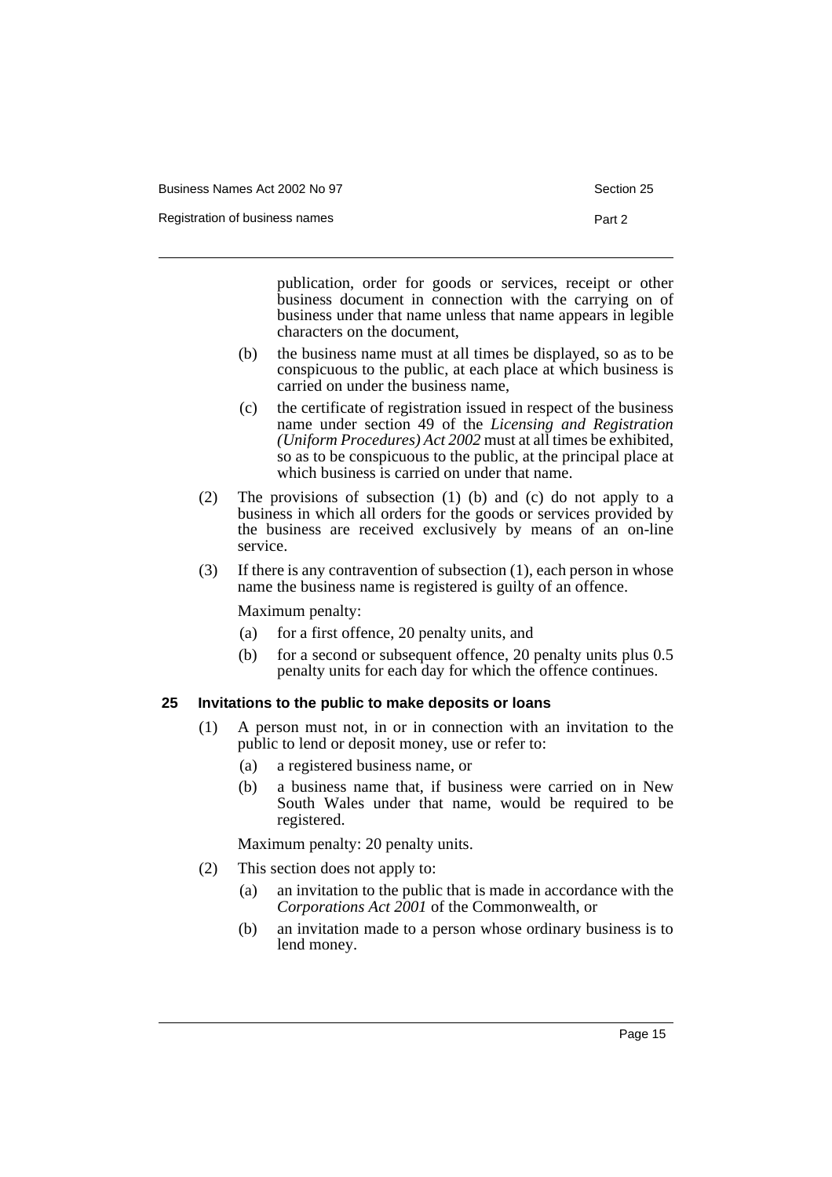| Business Names Act 2002 No 97 |  |  |
|-------------------------------|--|--|
|                               |  |  |

Registration of business names **Part 2** 

publication, order for goods or services, receipt or other business document in connection with the carrying on of business under that name unless that name appears in legible characters on the document,

- (b) the business name must at all times be displayed, so as to be conspicuous to the public, at each place at which business is carried on under the business name,
- (c) the certificate of registration issued in respect of the business name under section 49 of the *Licensing and Registration (Uniform Procedures) Act 2002* must at all times be exhibited, so as to be conspicuous to the public, at the principal place at which business is carried on under that name.
- (2) The provisions of subsection (1) (b) and (c) do not apply to a business in which all orders for the goods or services provided by the business are received exclusively by means of an on-line service.
- (3) If there is any contravention of subsection (1), each person in whose name the business name is registered is guilty of an offence.

Maximum penalty:

- (a) for a first offence, 20 penalty units, and
- (b) for a second or subsequent offence, 20 penalty units plus 0.5 penalty units for each day for which the offence continues.

## <span id="page-17-0"></span>**25 Invitations to the public to make deposits or loans**

- (1) A person must not, in or in connection with an invitation to the public to lend or deposit money, use or refer to:
	- (a) a registered business name, or
	- (b) a business name that, if business were carried on in New South Wales under that name, would be required to be registered.

Maximum penalty: 20 penalty units.

- (2) This section does not apply to:
	- (a) an invitation to the public that is made in accordance with the *Corporations Act 2001* of the Commonwealth, or
	- (b) an invitation made to a person whose ordinary business is to lend money.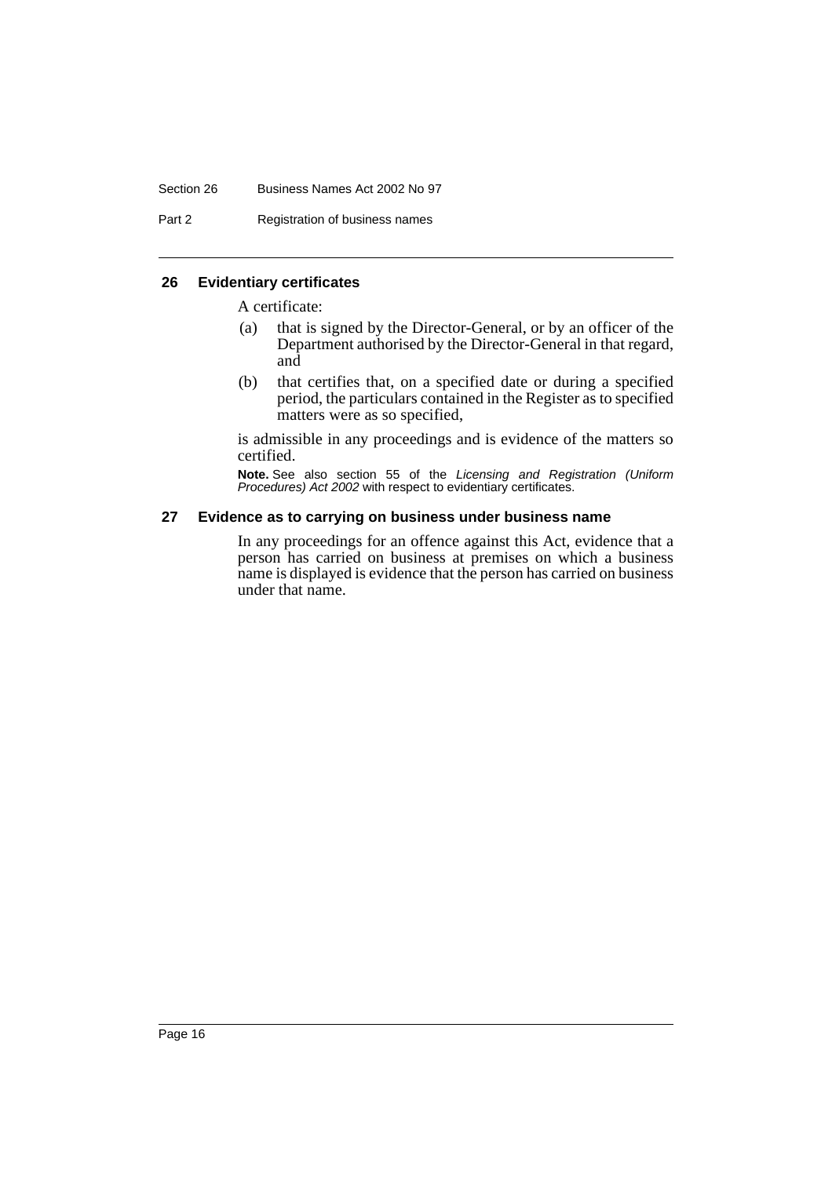#### Section 26 Business Names Act 2002 No 97

Part 2 Registration of business names

#### <span id="page-18-0"></span>**26 Evidentiary certificates**

A certificate:

- (a) that is signed by the Director-General, or by an officer of the Department authorised by the Director-General in that regard, and
- (b) that certifies that, on a specified date or during a specified period, the particulars contained in the Register as to specified matters were as so specified,

is admissible in any proceedings and is evidence of the matters so certified.

**Note.** See also section 55 of the Licensing and Registration (Uniform Procedures) Act 2002 with respect to evidentiary certificates.

#### <span id="page-18-1"></span>**27 Evidence as to carrying on business under business name**

In any proceedings for an offence against this Act, evidence that a person has carried on business at premises on which a business name is displayed is evidence that the person has carried on business under that name.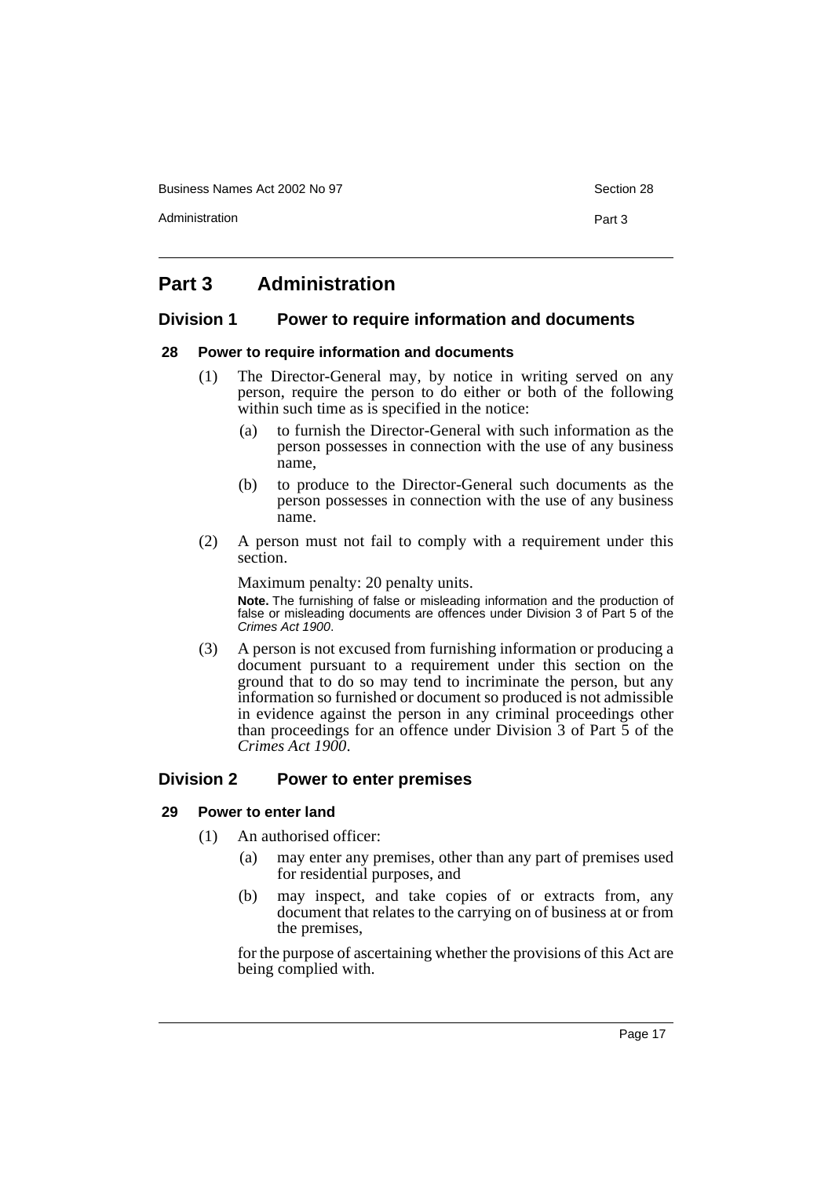Business Names Act 2002 No 97 Section 28

Administration **Part 3** 

# <span id="page-19-0"></span>**Part 3 Administration**

# <span id="page-19-1"></span>**Division 1 Power to require information and documents**

#### <span id="page-19-2"></span>**28 Power to require information and documents**

- (1) The Director-General may, by notice in writing served on any person, require the person to do either or both of the following within such time as is specified in the notice:
	- (a) to furnish the Director-General with such information as the person possesses in connection with the use of any business name,
	- (b) to produce to the Director-General such documents as the person possesses in connection with the use of any business name.
- (2) A person must not fail to comply with a requirement under this section.

Maximum penalty: 20 penalty units.

**Note.** The furnishing of false or misleading information and the production of false or misleading documents are offences under Division 3 of Part 5 of the Crimes Act 1900.

(3) A person is not excused from furnishing information or producing a document pursuant to a requirement under this section on the ground that to do so may tend to incriminate the person, but any information so furnished or document so produced is not admissible in evidence against the person in any criminal proceedings other than proceedings for an offence under Division 3 of Part 5 of the *Crimes Act 1900*.

# <span id="page-19-3"></span>**Division 2 Power to enter premises**

# <span id="page-19-4"></span>**29 Power to enter land**

- (1) An authorised officer:
	- (a) may enter any premises, other than any part of premises used for residential purposes, and
	- (b) may inspect, and take copies of or extracts from, any document that relates to the carrying on of business at or from the premises,

for the purpose of ascertaining whether the provisions of this Act are being complied with.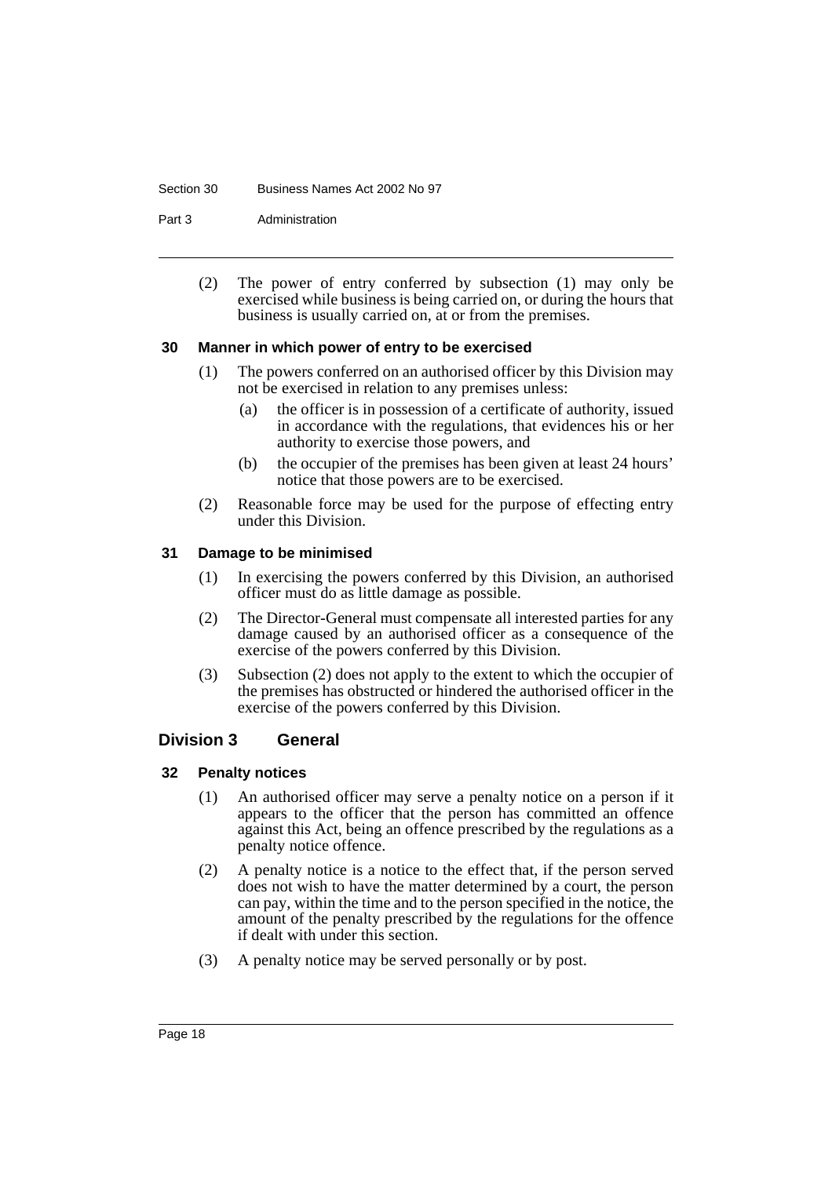#### Section 30 Business Names Act 2002 No 97

Part 3 **Administration** 

(2) The power of entry conferred by subsection (1) may only be exercised while business is being carried on, or during the hours that business is usually carried on, at or from the premises.

#### <span id="page-20-0"></span>**30 Manner in which power of entry to be exercised**

- (1) The powers conferred on an authorised officer by this Division may not be exercised in relation to any premises unless:
	- (a) the officer is in possession of a certificate of authority, issued in accordance with the regulations, that evidences his or her authority to exercise those powers, and
	- (b) the occupier of the premises has been given at least 24 hours' notice that those powers are to be exercised.
- (2) Reasonable force may be used for the purpose of effecting entry under this Division.

#### <span id="page-20-1"></span>**31 Damage to be minimised**

- (1) In exercising the powers conferred by this Division, an authorised officer must do as little damage as possible.
- (2) The Director-General must compensate all interested parties for any damage caused by an authorised officer as a consequence of the exercise of the powers conferred by this Division.
- (3) Subsection (2) does not apply to the extent to which the occupier of the premises has obstructed or hindered the authorised officer in the exercise of the powers conferred by this Division.

#### <span id="page-20-2"></span>**Division 3 General**

#### <span id="page-20-3"></span>**32 Penalty notices**

- (1) An authorised officer may serve a penalty notice on a person if it appears to the officer that the person has committed an offence against this Act, being an offence prescribed by the regulations as a penalty notice offence.
- (2) A penalty notice is a notice to the effect that, if the person served does not wish to have the matter determined by a court, the person can pay, within the time and to the person specified in the notice, the amount of the penalty prescribed by the regulations for the offence if dealt with under this section.
- (3) A penalty notice may be served personally or by post.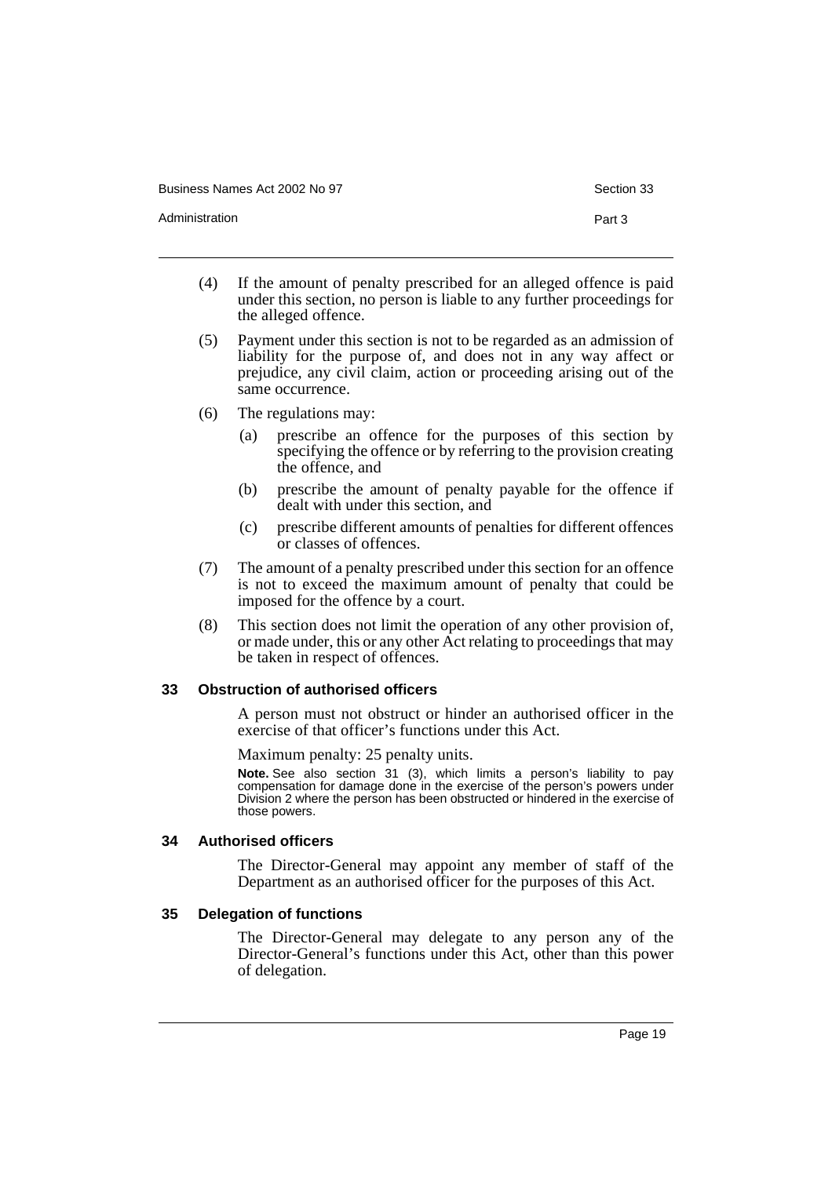Business Names Act 2002 No 97 Section 33

Administration **Part 3** 

- (4) If the amount of penalty prescribed for an alleged offence is paid under this section, no person is liable to any further proceedings for the alleged offence.
- (5) Payment under this section is not to be regarded as an admission of liability for the purpose of, and does not in any way affect or prejudice, any civil claim, action or proceeding arising out of the same occurrence.
- (6) The regulations may:
	- (a) prescribe an offence for the purposes of this section by specifying the offence or by referring to the provision creating the offence, and
	- (b) prescribe the amount of penalty payable for the offence if dealt with under this section, and
	- (c) prescribe different amounts of penalties for different offences or classes of offences.
- (7) The amount of a penalty prescribed under this section for an offence is not to exceed the maximum amount of penalty that could be imposed for the offence by a court.
- (8) This section does not limit the operation of any other provision of, or made under, this or any other Act relating to proceedings that may be taken in respect of offences.

#### <span id="page-21-0"></span>**33 Obstruction of authorised officers**

A person must not obstruct or hinder an authorised officer in the exercise of that officer's functions under this Act.

Maximum penalty: 25 penalty units.

**Note.** See also section 31 (3), which limits a person's liability to pay compensation for damage done in the exercise of the person's powers under Division 2 where the person has been obstructed or hindered in the exercise of those powers.

#### <span id="page-21-1"></span>**34 Authorised officers**

The Director-General may appoint any member of staff of the Department as an authorised officer for the purposes of this Act.

# <span id="page-21-2"></span>**35 Delegation of functions**

The Director-General may delegate to any person any of the Director-General's functions under this Act, other than this power of delegation.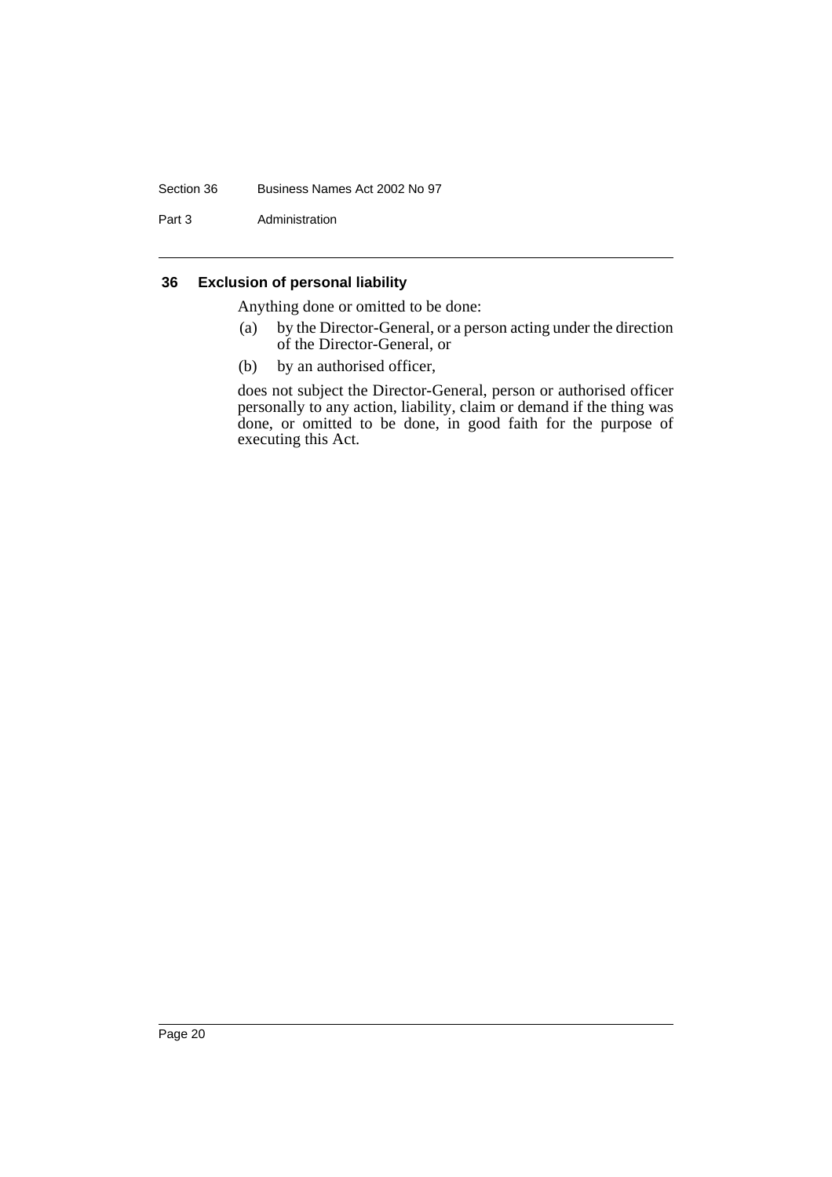#### Section 36 Business Names Act 2002 No 97

Part 3 Administration

# <span id="page-22-0"></span>**36 Exclusion of personal liability**

Anything done or omitted to be done:

- (a) by the Director-General, or a person acting under the direction of the Director-General, or
- (b) by an authorised officer,

does not subject the Director-General, person or authorised officer personally to any action, liability, claim or demand if the thing was done, or omitted to be done, in good faith for the purpose of executing this Act.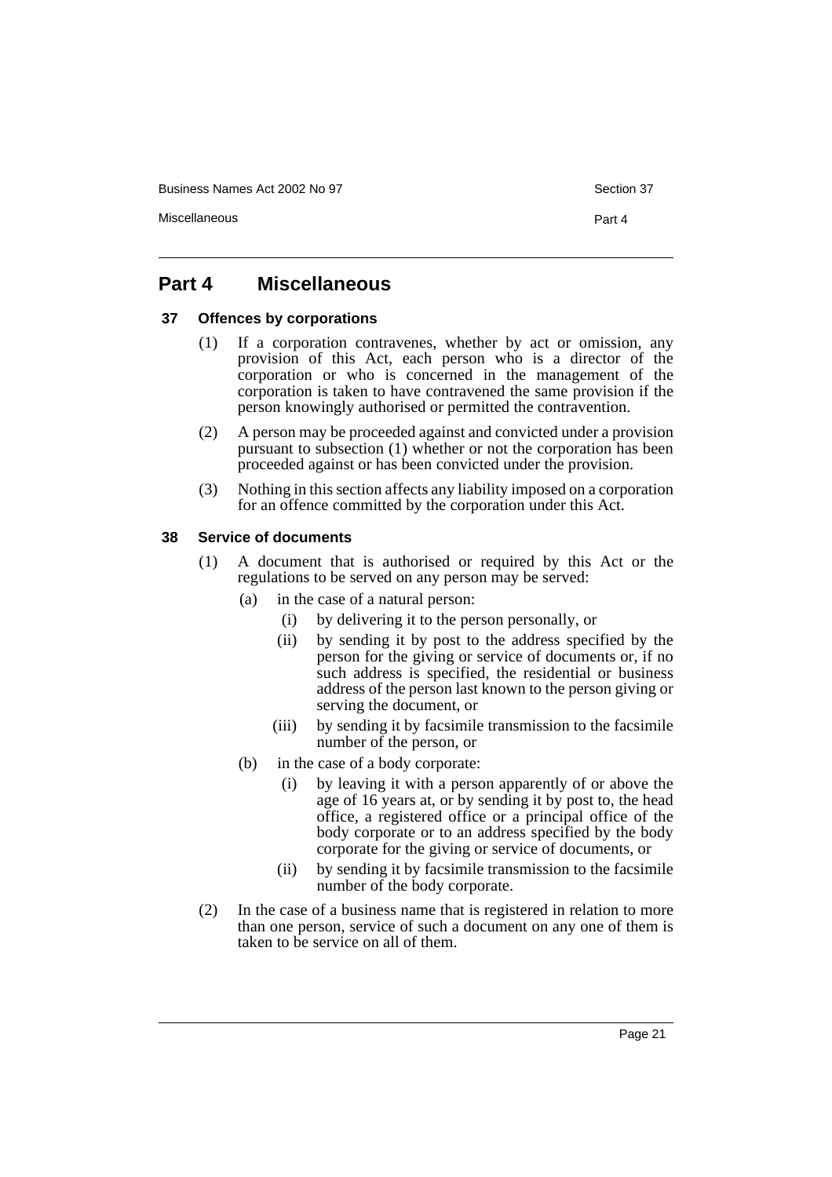Business Names Act 2002 No 97 Section 37

Miscellaneous Part 4

# <span id="page-23-0"></span>**Part 4 Miscellaneous**

# <span id="page-23-1"></span>**37 Offences by corporations**

- (1) If a corporation contravenes, whether by act or omission, any provision of this Act, each person who is a director of the corporation or who is concerned in the management of the corporation is taken to have contravened the same provision if the person knowingly authorised or permitted the contravention.
- (2) A person may be proceeded against and convicted under a provision pursuant to subsection (1) whether or not the corporation has been proceeded against or has been convicted under the provision.
- (3) Nothing in this section affects any liability imposed on a corporation for an offence committed by the corporation under this Act.

# <span id="page-23-2"></span>**38 Service of documents**

- (1) A document that is authorised or required by this Act or the regulations to be served on any person may be served:
	- (a) in the case of a natural person:
		- (i) by delivering it to the person personally, or
		- (ii) by sending it by post to the address specified by the person for the giving or service of documents or, if no such address is specified, the residential or business address of the person last known to the person giving or serving the document, or
		- (iii) by sending it by facsimile transmission to the facsimile number of the person, or
	- (b) in the case of a body corporate:
		- (i) by leaving it with a person apparently of or above the age of 16 years at, or by sending it by post to, the head office, a registered office or a principal office of the body corporate or to an address specified by the body corporate for the giving or service of documents, or
		- (ii) by sending it by facsimile transmission to the facsimile number of the body corporate.
- (2) In the case of a business name that is registered in relation to more than one person, service of such a document on any one of them is taken to be service on all of them.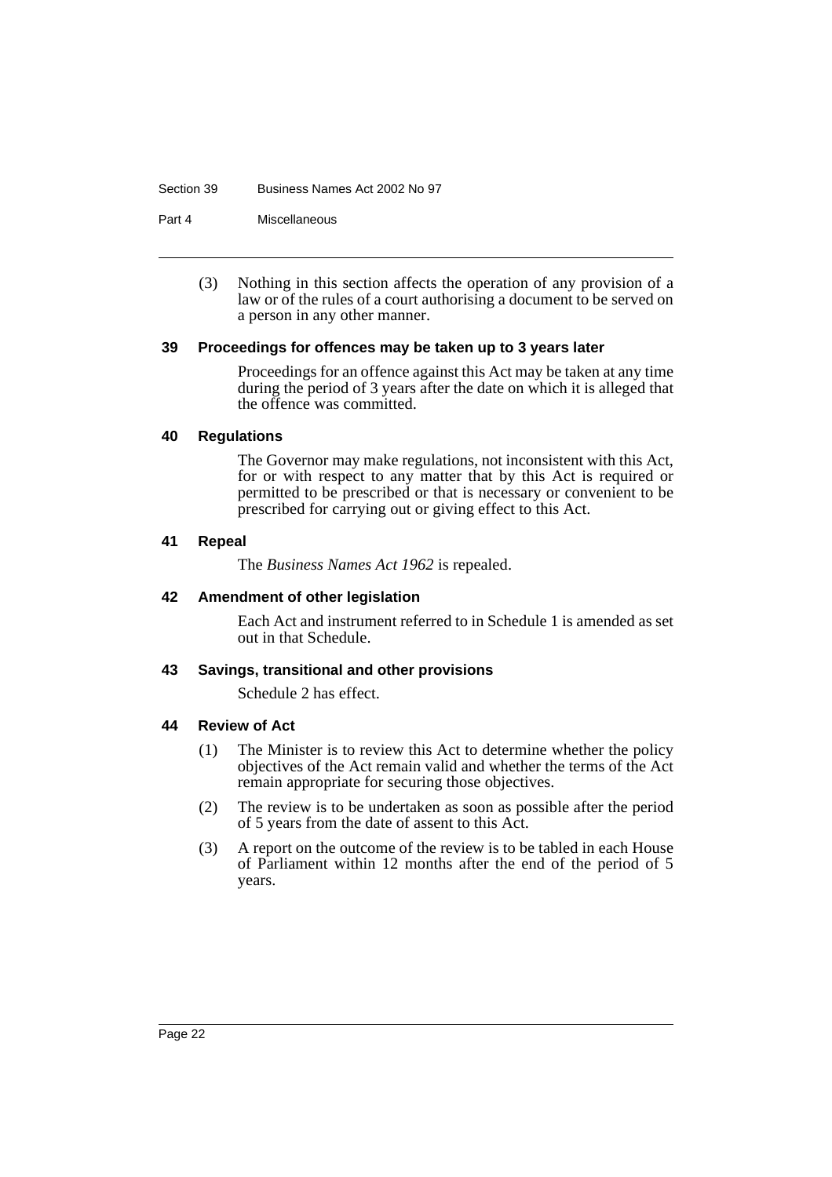#### Section 39 Business Names Act 2002 No 97

Part 4 Miscellaneous

(3) Nothing in this section affects the operation of any provision of a law or of the rules of a court authorising a document to be served on a person in any other manner.

#### <span id="page-24-0"></span>**39 Proceedings for offences may be taken up to 3 years later**

Proceedings for an offence against this Act may be taken at any time during the period of 3 years after the date on which it is alleged that the offence was committed.

#### <span id="page-24-1"></span>**40 Regulations**

The Governor may make regulations, not inconsistent with this Act, for or with respect to any matter that by this Act is required or permitted to be prescribed or that is necessary or convenient to be prescribed for carrying out or giving effect to this Act.

#### <span id="page-24-2"></span>**41 Repeal**

The *Business Names Act 1962* is repealed.

#### <span id="page-24-3"></span>**42 Amendment of other legislation**

Each Act and instrument referred to in Schedule 1 is amended as set out in that Schedule.

#### <span id="page-24-4"></span>**43 Savings, transitional and other provisions**

Schedule 2 has effect.

#### <span id="page-24-5"></span>**44 Review of Act**

- (1) The Minister is to review this Act to determine whether the policy objectives of the Act remain valid and whether the terms of the Act remain appropriate for securing those objectives.
- (2) The review is to be undertaken as soon as possible after the period of 5 years from the date of assent to this Act.
- (3) A report on the outcome of the review is to be tabled in each House of Parliament within 12 months after the end of the period of 5 years.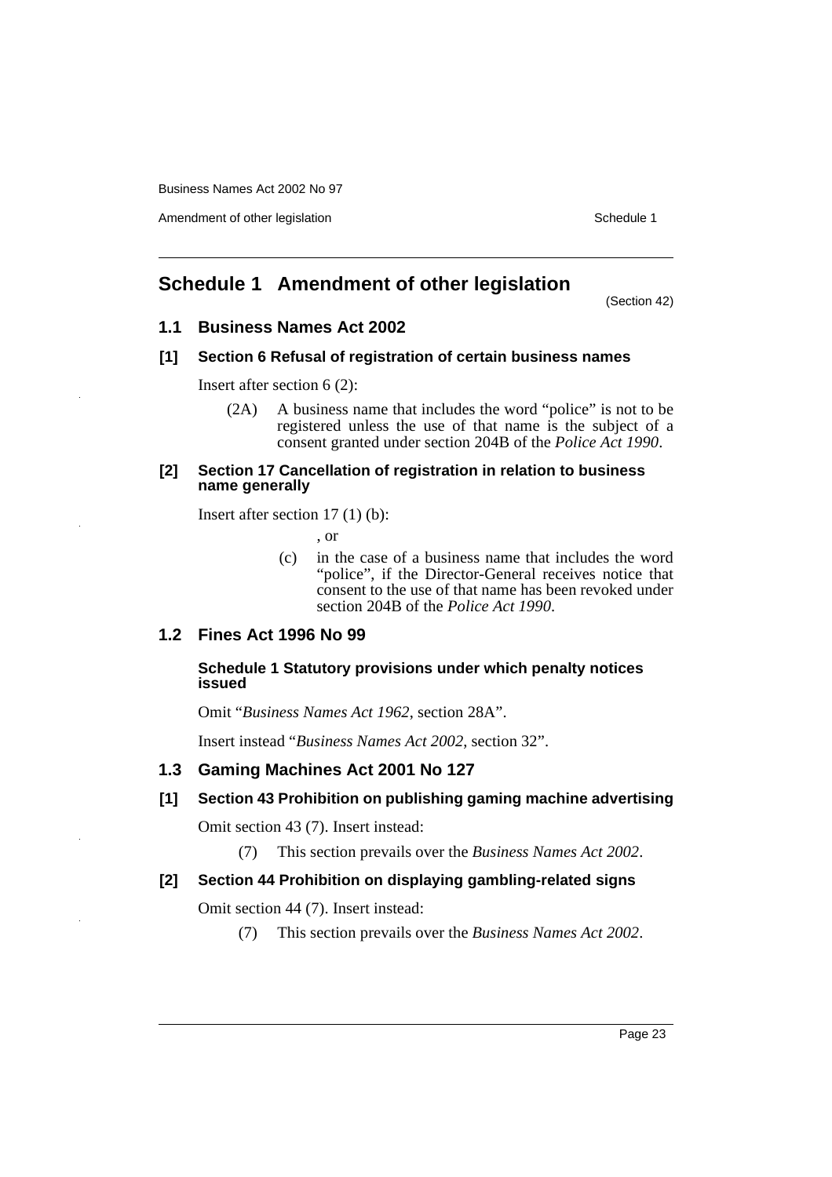Amendment of other legislation Schedule 1

# <span id="page-25-0"></span>**Schedule 1 Amendment of other legislation**

(Section 42)

# **1.1 Business Names Act 2002**

#### **[1] Section 6 Refusal of registration of certain business names**

Insert after section 6 (2):

(2A) A business name that includes the word "police" is not to be registered unless the use of that name is the subject of a consent granted under section 204B of the *Police Act 1990*.

#### **[2] Section 17 Cancellation of registration in relation to business name generally**

Insert after section 17 (1) (b):

, or

- (c) in the case of a business name that includes the word "police", if the Director-General receives notice that consent to the use of that name has been revoked under section 204B of the *Police Act 1990*.
- **1.2 Fines Act 1996 No 99**

# **Schedule 1 Statutory provisions under which penalty notices issued**

Omit "*Business Names Act 1962*, section 28A".

Insert instead "*Business Names Act 2002*, section 32".

# **1.3 Gaming Machines Act 2001 No 127**

#### **[1] Section 43 Prohibition on publishing gaming machine advertising**

Omit section 43 (7). Insert instead:

(7) This section prevails over the *Business Names Act 2002*.

#### **[2] Section 44 Prohibition on displaying gambling-related signs**

Omit section 44 (7). Insert instead:

(7) This section prevails over the *Business Names Act 2002*.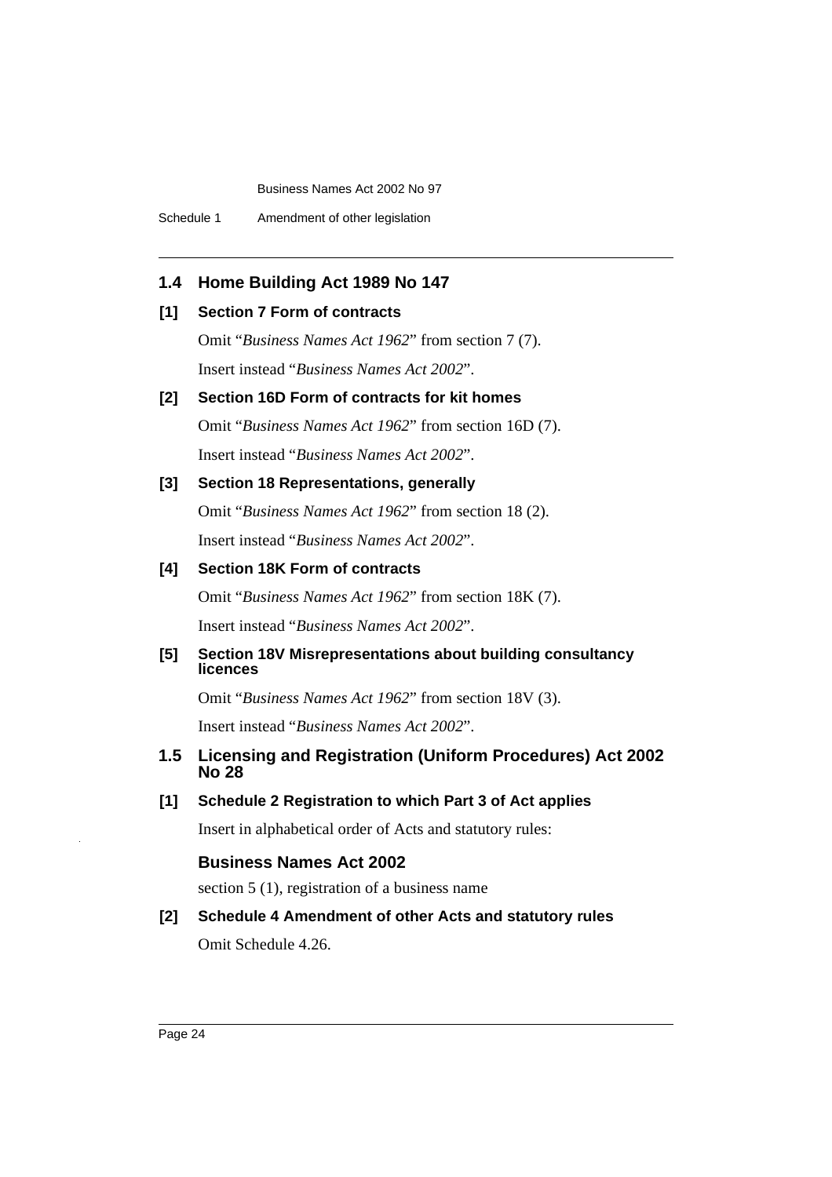Schedule 1 Amendment of other legislation

# **1.4 Home Building Act 1989 No 147**

#### **[1] Section 7 Form of contracts**

Omit "*Business Names Act 1962*" from section 7 (7). Insert instead "*Business Names Act 2002*".

## **[2] Section 16D Form of contracts for kit homes**

Omit "*Business Names Act 1962*" from section 16D (7). Insert instead "*Business Names Act 2002*".

#### **[3] Section 18 Representations, generally**

Omit "*Business Names Act 1962*" from section 18 (2). Insert instead "*Business Names Act 2002*".

# **[4] Section 18K Form of contracts**

Omit "*Business Names Act 1962*" from section 18K (7).

Insert instead "*Business Names Act 2002*".

## **[5] Section 18V Misrepresentations about building consultancy licences**

Omit "*Business Names Act 1962*" from section 18V (3).

Insert instead "*Business Names Act 2002*".

# **1.5 Licensing and Registration (Uniform Procedures) Act 2002 No 28**

**[1] Schedule 2 Registration to which Part 3 of Act applies**

Insert in alphabetical order of Acts and statutory rules:

# **Business Names Act 2002**

section 5 (1), registration of a business name

# **[2] Schedule 4 Amendment of other Acts and statutory rules** Omit Schedule 4.26.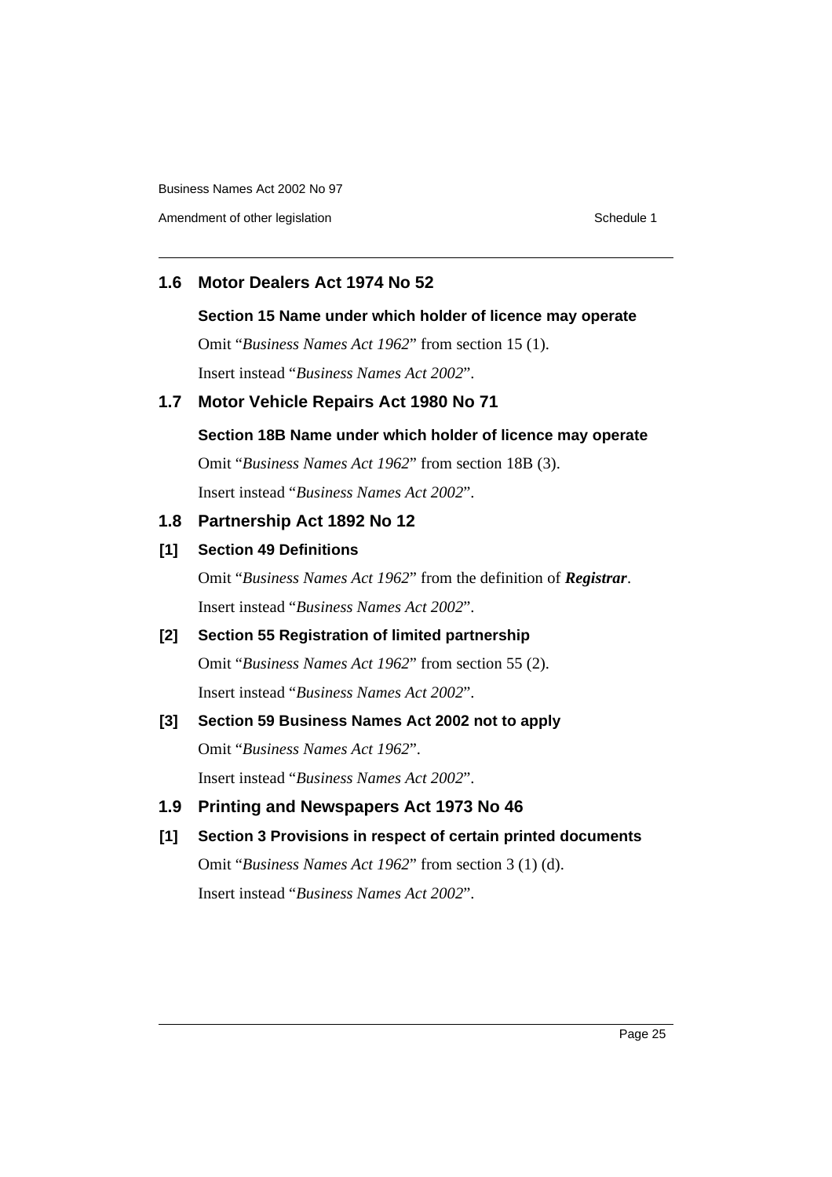Amendment of other legislation Schedule 1

# **1.6 Motor Dealers Act 1974 No 52**

#### **Section 15 Name under which holder of licence may operate**

Omit "*Business Names Act 1962*" from section 15 (1). Insert instead "*Business Names Act 2002*".

# **1.7 Motor Vehicle Repairs Act 1980 No 71**

## **Section 18B Name under which holder of licence may operate**

Omit "*Business Names Act 1962*" from section 18B (3). Insert instead "*Business Names Act 2002*".

# **1.8 Partnership Act 1892 No 12**

#### **[1] Section 49 Definitions**

Omit "*Business Names Act 1962*" from the definition of *Registrar*. Insert instead "*Business Names Act 2002*".

# **[2] Section 55 Registration of limited partnership**

Omit "*Business Names Act 1962*" from section 55 (2). Insert instead "*Business Names Act 2002*".

# **[3] Section 59 Business Names Act 2002 not to apply**

Omit "*Business Names Act 1962*".

Insert instead "*Business Names Act 2002*".

**1.9 Printing and Newspapers Act 1973 No 46**

# **[1] Section 3 Provisions in respect of certain printed documents**

Omit "*Business Names Act 1962*" from section 3 (1) (d). Insert instead "*Business Names Act 2002*".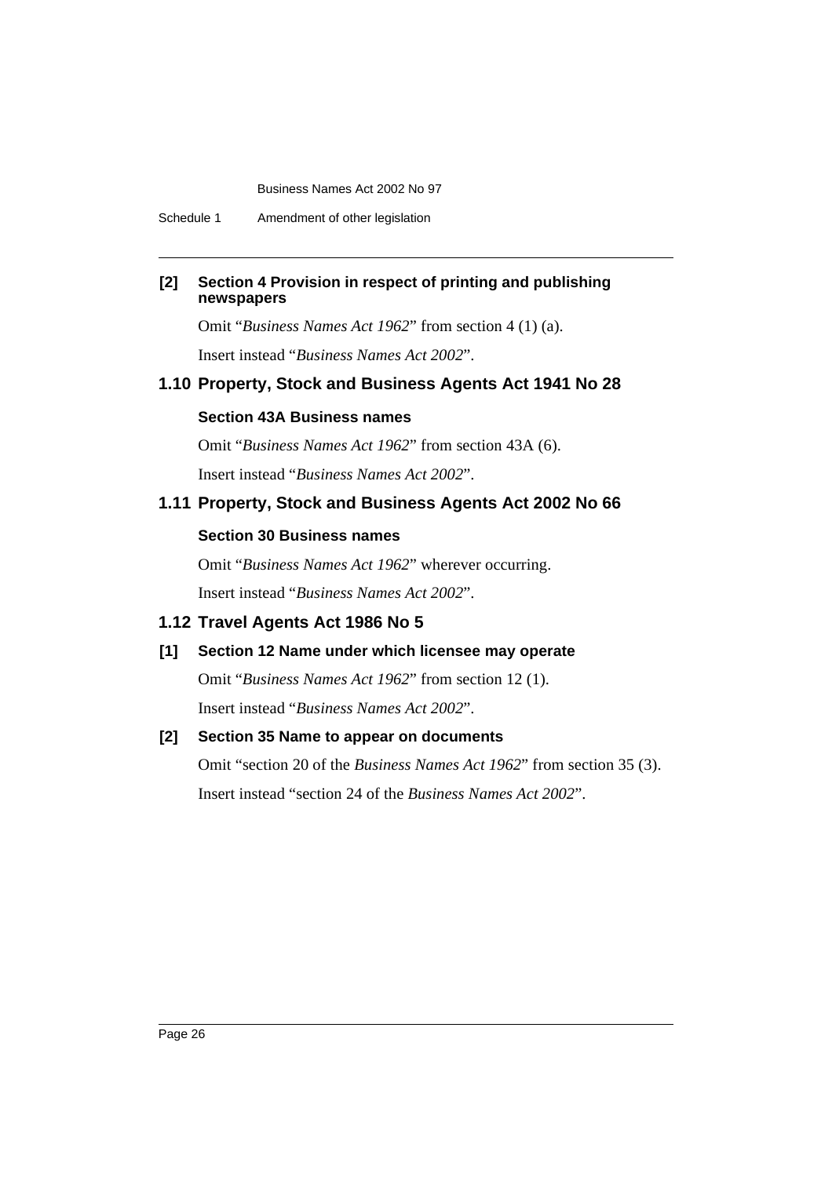Schedule 1 Amendment of other legislation

# **[2] Section 4 Provision in respect of printing and publishing newspapers**

Omit "*Business Names Act 1962*" from section 4 (1) (a).

Insert instead "*Business Names Act 2002*".

# **1.10 Property, Stock and Business Agents Act 1941 No 28**

# **Section 43A Business names**

Omit "*Business Names Act 1962*" from section 43A (6). Insert instead "*Business Names Act 2002*".

# **1.11 Property, Stock and Business Agents Act 2002 No 66**

#### **Section 30 Business names**

Omit "*Business Names Act 1962*" wherever occurring. Insert instead "*Business Names Act 2002*".

# **1.12 Travel Agents Act 1986 No 5**

# **[1] Section 12 Name under which licensee may operate**

Omit "*Business Names Act 1962*" from section 12 (1).

Insert instead "*Business Names Act 2002*".

# **[2] Section 35 Name to appear on documents**

Omit "section 20 of the *Business Names Act 1962*" from section 35 (3). Insert instead "section 24 of the *Business Names Act 2002*".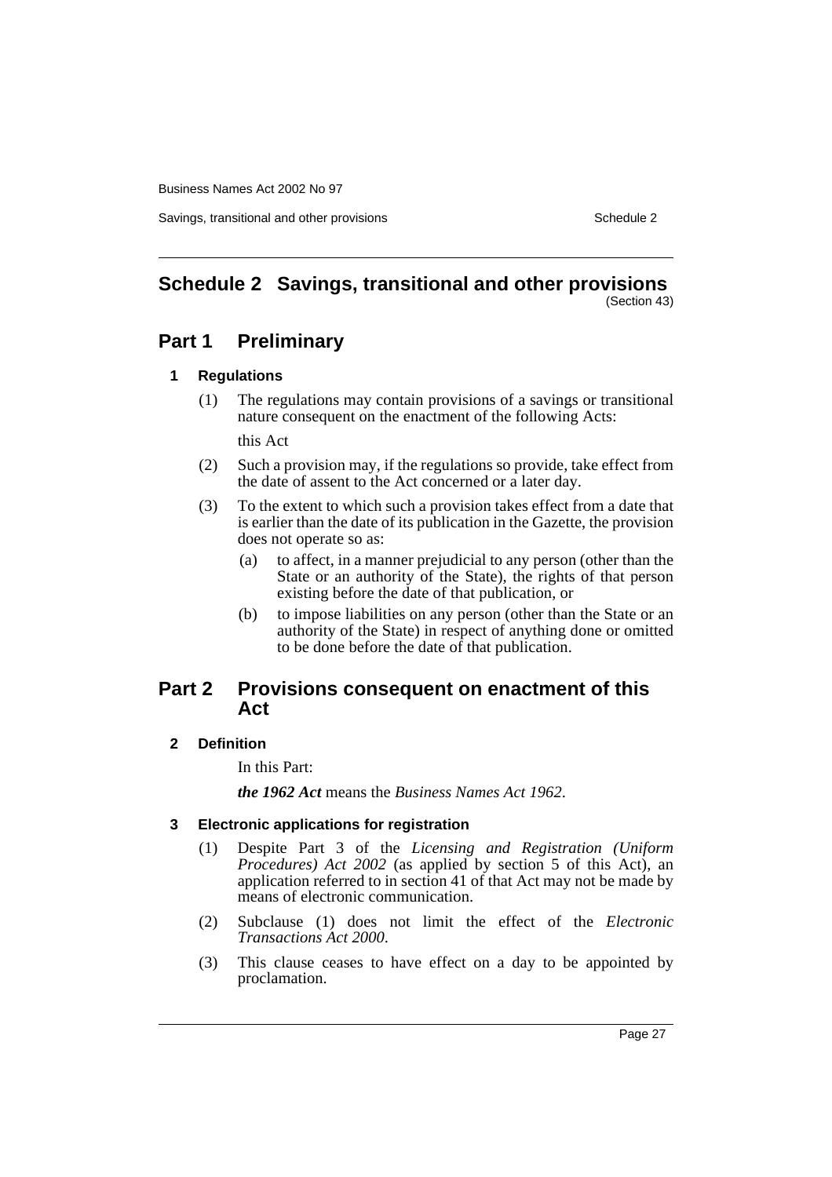Savings, transitional and other provisions Schedule 2 and Schedule 2 and Schedule 2

#### <span id="page-29-0"></span>**Schedule 2 Savings, transitional and other provisions** (Section 43)

# **Part 1 Preliminary**

#### **1 Regulations**

(1) The regulations may contain provisions of a savings or transitional nature consequent on the enactment of the following Acts:

this Act

- (2) Such a provision may, if the regulations so provide, take effect from the date of assent to the Act concerned or a later day.
- (3) To the extent to which such a provision takes effect from a date that is earlier than the date of its publication in the Gazette, the provision does not operate so as:
	- (a) to affect, in a manner prejudicial to any person (other than the State or an authority of the State), the rights of that person existing before the date of that publication, or
	- (b) to impose liabilities on any person (other than the State or an authority of the State) in respect of anything done or omitted to be done before the date of that publication.

# **Part 2 Provisions consequent on enactment of this Act**

#### **2 Definition**

In this Part:

*the 1962 Act* means the *Business Names Act 1962*.

# **3 Electronic applications for registration**

- (1) Despite Part 3 of the *Licensing and Registration (Uniform Procedures) Act 2002* (as applied by section 5 of this Act), an application referred to in section 41 of that Act may not be made by means of electronic communication.
- (2) Subclause (1) does not limit the effect of the *Electronic Transactions Act 2000*.
- (3) This clause ceases to have effect on a day to be appointed by proclamation.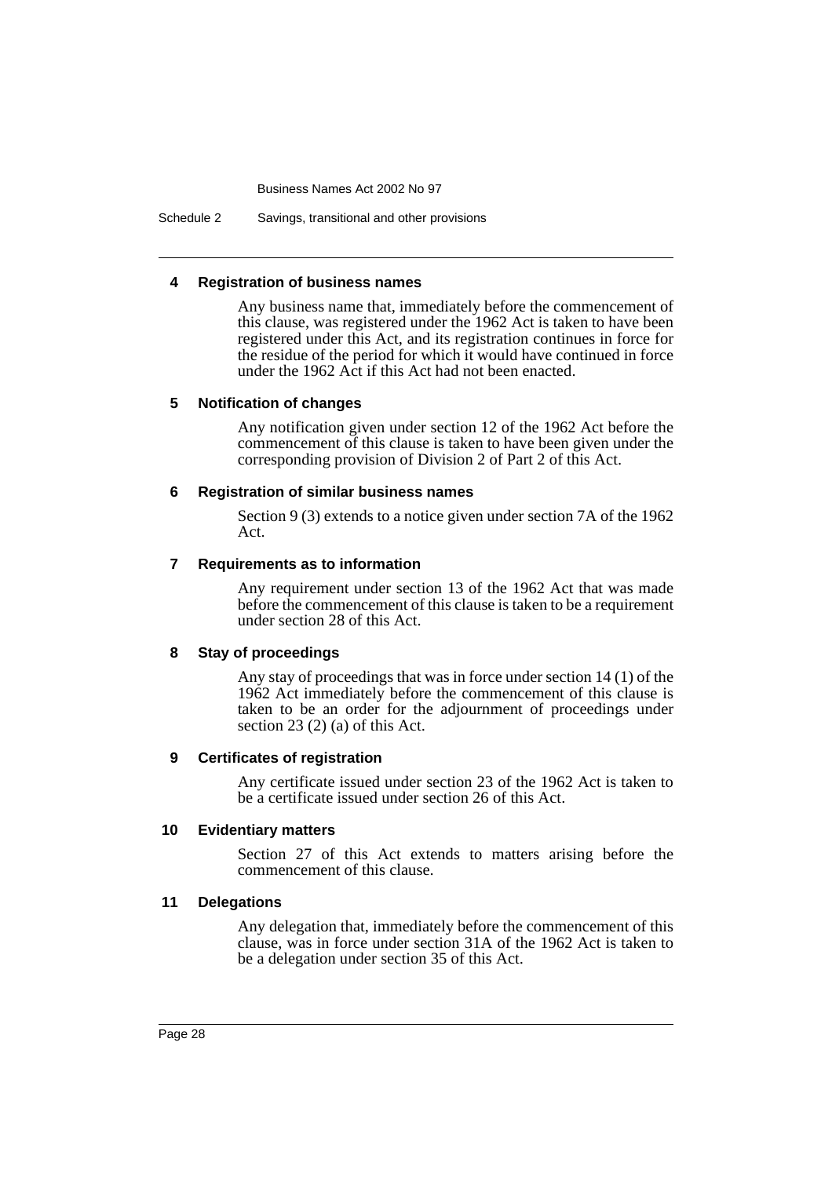Schedule 2 Savings, transitional and other provisions

#### **4 Registration of business names**

Any business name that, immediately before the commencement of this clause, was registered under the 1962 Act is taken to have been registered under this Act, and its registration continues in force for the residue of the period for which it would have continued in force under the 1962 Act if this Act had not been enacted.

#### **5 Notification of changes**

Any notification given under section 12 of the 1962 Act before the commencement of this clause is taken to have been given under the corresponding provision of Division 2 of Part 2 of this Act.

#### **6 Registration of similar business names**

Section 9 (3) extends to a notice given under section 7A of the 1962 Act.

#### **7 Requirements as to information**

Any requirement under section 13 of the 1962 Act that was made before the commencement of this clause is taken to be a requirement under section 28 of this Act.

#### **8 Stay of proceedings**

Any stay of proceedings that was in force under section 14 (1) of the 1962 Act immediately before the commencement of this clause is taken to be an order for the adjournment of proceedings under section 23 (2) (a) of this Act.

#### **9 Certificates of registration**

Any certificate issued under section 23 of the 1962 Act is taken to be a certificate issued under section 26 of this Act.

#### **10 Evidentiary matters**

Section 27 of this Act extends to matters arising before the commencement of this clause.

#### **11 Delegations**

Any delegation that, immediately before the commencement of this clause, was in force under section 31A of the 1962 Act is taken to be a delegation under section 35 of this Act.